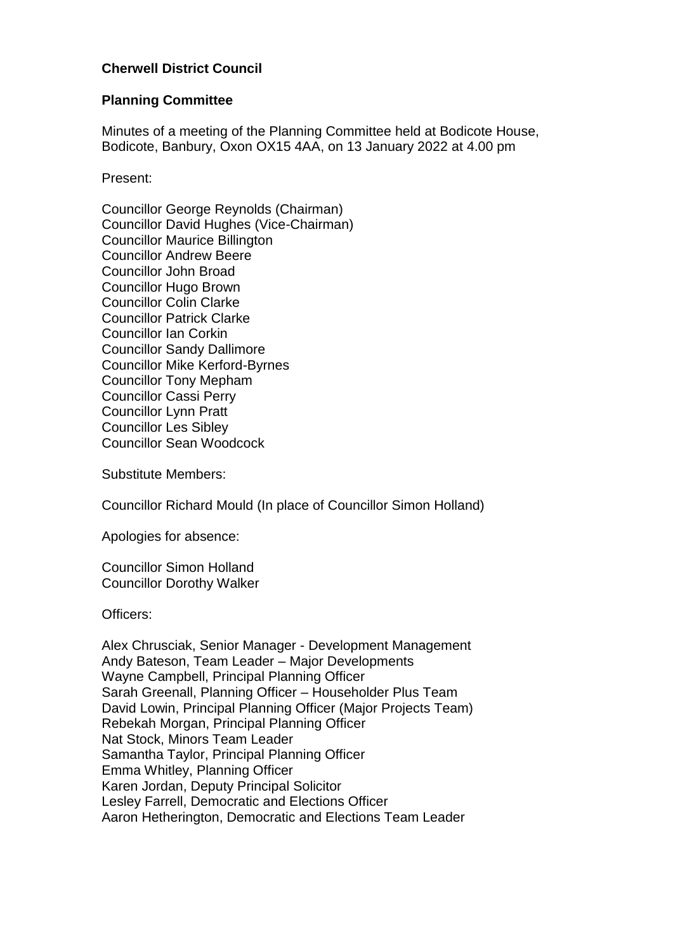## **Cherwell District Council**

#### **Planning Committee**

Minutes of a meeting of the Planning Committee held at Bodicote House, Bodicote, Banbury, Oxon OX15 4AA, on 13 January 2022 at 4.00 pm

Present:

Councillor George Reynolds (Chairman) Councillor David Hughes (Vice-Chairman) Councillor Maurice Billington Councillor Andrew Beere Councillor John Broad Councillor Hugo Brown Councillor Colin Clarke Councillor Patrick Clarke Councillor Ian Corkin Councillor Sandy Dallimore Councillor Mike Kerford-Byrnes Councillor Tony Mepham Councillor Cassi Perry Councillor Lynn Pratt Councillor Les Sibley Councillor Sean Woodcock

Substitute Members:

Councillor Richard Mould (In place of Councillor Simon Holland)

Apologies for absence:

Councillor Simon Holland Councillor Dorothy Walker

Officers:

Alex Chrusciak, Senior Manager - Development Management Andy Bateson, Team Leader – Major Developments Wayne Campbell, Principal Planning Officer Sarah Greenall, Planning Officer – Householder Plus Team David Lowin, Principal Planning Officer (Major Projects Team) Rebekah Morgan, Principal Planning Officer Nat Stock, Minors Team Leader Samantha Taylor, Principal Planning Officer Emma Whitley, Planning Officer Karen Jordan, Deputy Principal Solicitor Lesley Farrell, Democratic and Elections Officer Aaron Hetherington, Democratic and Elections Team Leader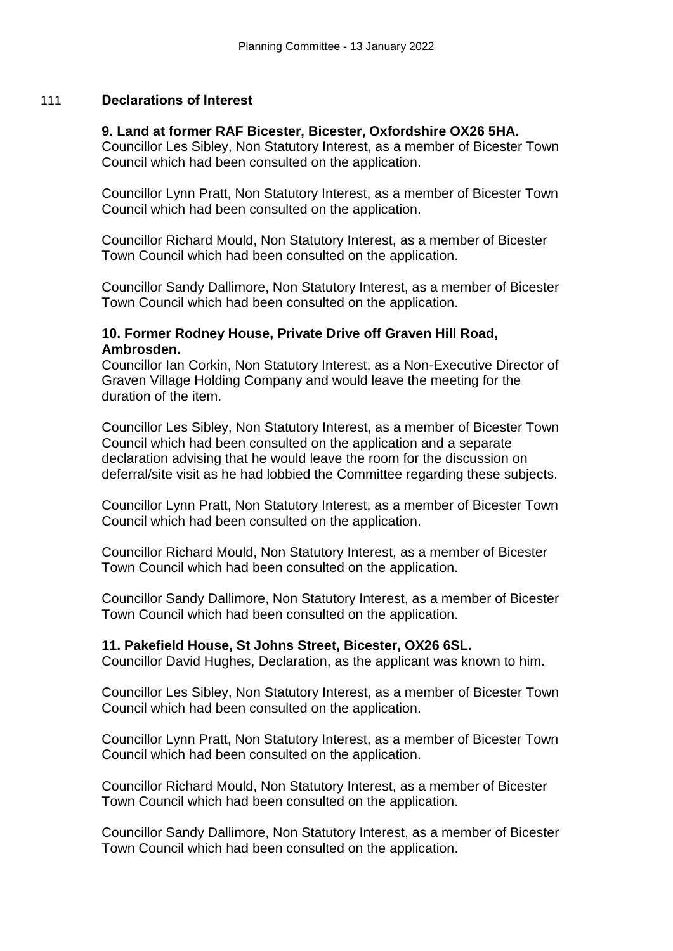#### 111 **Declarations of Interest**

#### **9. Land at former RAF Bicester, Bicester, Oxfordshire OX26 5HA.**

Councillor Les Sibley, Non Statutory Interest, as a member of Bicester Town Council which had been consulted on the application.

Councillor Lynn Pratt, Non Statutory Interest, as a member of Bicester Town Council which had been consulted on the application.

Councillor Richard Mould, Non Statutory Interest, as a member of Bicester Town Council which had been consulted on the application.

Councillor Sandy Dallimore, Non Statutory Interest, as a member of Bicester Town Council which had been consulted on the application.

#### **10. Former Rodney House, Private Drive off Graven Hill Road, Ambrosden.**

Councillor Ian Corkin, Non Statutory Interest, as a Non-Executive Director of Graven Village Holding Company and would leave the meeting for the duration of the item.

Councillor Les Sibley, Non Statutory Interest, as a member of Bicester Town Council which had been consulted on the application and a separate declaration advising that he would leave the room for the discussion on deferral/site visit as he had lobbied the Committee regarding these subjects.

Councillor Lynn Pratt, Non Statutory Interest, as a member of Bicester Town Council which had been consulted on the application.

Councillor Richard Mould, Non Statutory Interest, as a member of Bicester Town Council which had been consulted on the application.

Councillor Sandy Dallimore, Non Statutory Interest, as a member of Bicester Town Council which had been consulted on the application.

#### **11. Pakefield House, St Johns Street, Bicester, OX26 6SL.**

Councillor David Hughes, Declaration, as the applicant was known to him.

Councillor Les Sibley, Non Statutory Interest, as a member of Bicester Town Council which had been consulted on the application.

Councillor Lynn Pratt, Non Statutory Interest, as a member of Bicester Town Council which had been consulted on the application.

Councillor Richard Mould, Non Statutory Interest, as a member of Bicester Town Council which had been consulted on the application.

Councillor Sandy Dallimore, Non Statutory Interest, as a member of Bicester Town Council which had been consulted on the application.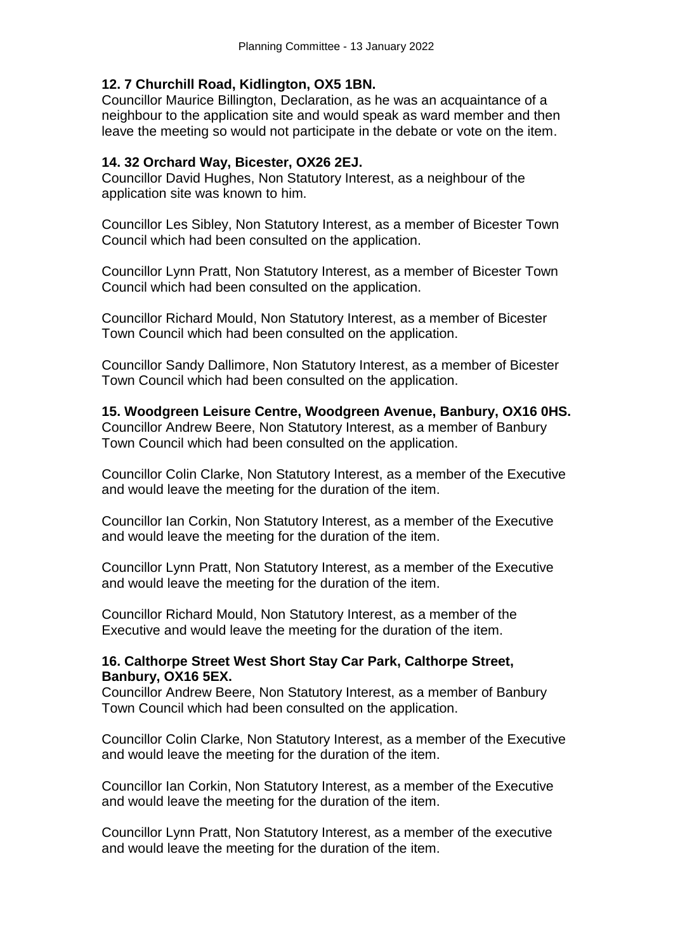## **12. 7 Churchill Road, Kidlington, OX5 1BN.**

Councillor Maurice Billington, Declaration, as he was an acquaintance of a neighbour to the application site and would speak as ward member and then leave the meeting so would not participate in the debate or vote on the item.

## **14. 32 Orchard Way, Bicester, OX26 2EJ.**

Councillor David Hughes, Non Statutory Interest, as a neighbour of the application site was known to him.

Councillor Les Sibley, Non Statutory Interest, as a member of Bicester Town Council which had been consulted on the application.

Councillor Lynn Pratt, Non Statutory Interest, as a member of Bicester Town Council which had been consulted on the application.

Councillor Richard Mould, Non Statutory Interest, as a member of Bicester Town Council which had been consulted on the application.

Councillor Sandy Dallimore, Non Statutory Interest, as a member of Bicester Town Council which had been consulted on the application.

**15. Woodgreen Leisure Centre, Woodgreen Avenue, Banbury, OX16 0HS.** Councillor Andrew Beere, Non Statutory Interest, as a member of Banbury Town Council which had been consulted on the application.

Councillor Colin Clarke, Non Statutory Interest, as a member of the Executive and would leave the meeting for the duration of the item.

Councillor Ian Corkin, Non Statutory Interest, as a member of the Executive and would leave the meeting for the duration of the item.

Councillor Lynn Pratt, Non Statutory Interest, as a member of the Executive and would leave the meeting for the duration of the item.

Councillor Richard Mould, Non Statutory Interest, as a member of the Executive and would leave the meeting for the duration of the item.

## **16. Calthorpe Street West Short Stay Car Park, Calthorpe Street, Banbury, OX16 5EX.**

Councillor Andrew Beere, Non Statutory Interest, as a member of Banbury Town Council which had been consulted on the application.

Councillor Colin Clarke, Non Statutory Interest, as a member of the Executive and would leave the meeting for the duration of the item.

Councillor Ian Corkin, Non Statutory Interest, as a member of the Executive and would leave the meeting for the duration of the item.

Councillor Lynn Pratt, Non Statutory Interest, as a member of the executive and would leave the meeting for the duration of the item.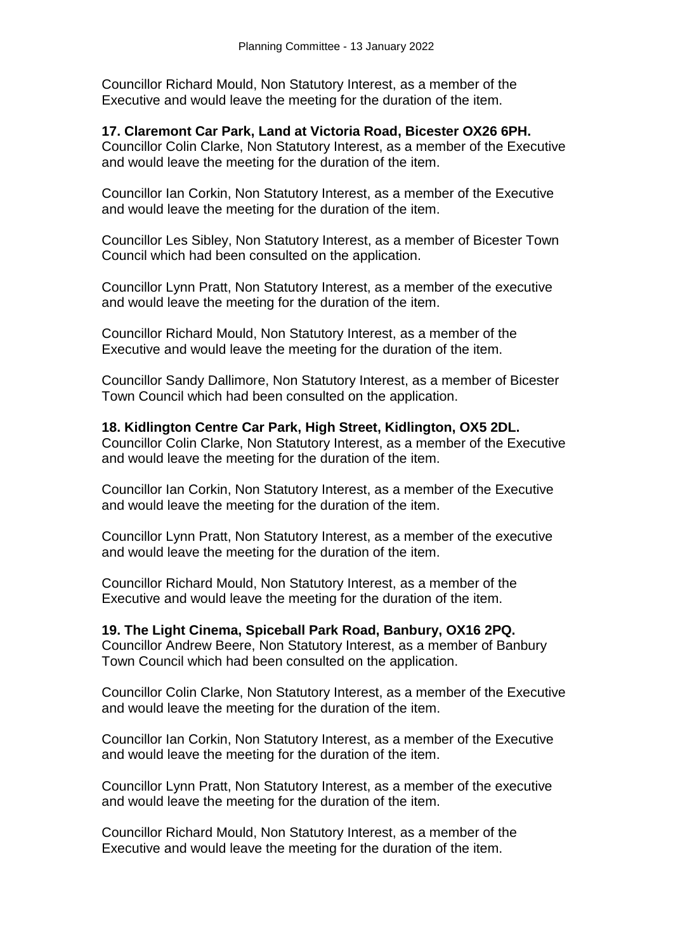Councillor Richard Mould, Non Statutory Interest, as a member of the Executive and would leave the meeting for the duration of the item.

## **17. Claremont Car Park, Land at Victoria Road, Bicester OX26 6PH.**

Councillor Colin Clarke, Non Statutory Interest, as a member of the Executive and would leave the meeting for the duration of the item.

Councillor Ian Corkin, Non Statutory Interest, as a member of the Executive and would leave the meeting for the duration of the item.

Councillor Les Sibley, Non Statutory Interest, as a member of Bicester Town Council which had been consulted on the application.

Councillor Lynn Pratt, Non Statutory Interest, as a member of the executive and would leave the meeting for the duration of the item.

Councillor Richard Mould, Non Statutory Interest, as a member of the Executive and would leave the meeting for the duration of the item.

Councillor Sandy Dallimore, Non Statutory Interest, as a member of Bicester Town Council which had been consulted on the application.

### **18. Kidlington Centre Car Park, High Street, Kidlington, OX5 2DL.**

Councillor Colin Clarke, Non Statutory Interest, as a member of the Executive and would leave the meeting for the duration of the item.

Councillor Ian Corkin, Non Statutory Interest, as a member of the Executive and would leave the meeting for the duration of the item.

Councillor Lynn Pratt, Non Statutory Interest, as a member of the executive and would leave the meeting for the duration of the item.

Councillor Richard Mould, Non Statutory Interest, as a member of the Executive and would leave the meeting for the duration of the item.

**19. The Light Cinema, Spiceball Park Road, Banbury, OX16 2PQ.**

Councillor Andrew Beere, Non Statutory Interest, as a member of Banbury Town Council which had been consulted on the application.

Councillor Colin Clarke, Non Statutory Interest, as a member of the Executive and would leave the meeting for the duration of the item.

Councillor Ian Corkin, Non Statutory Interest, as a member of the Executive and would leave the meeting for the duration of the item.

Councillor Lynn Pratt, Non Statutory Interest, as a member of the executive and would leave the meeting for the duration of the item.

Councillor Richard Mould, Non Statutory Interest, as a member of the Executive and would leave the meeting for the duration of the item.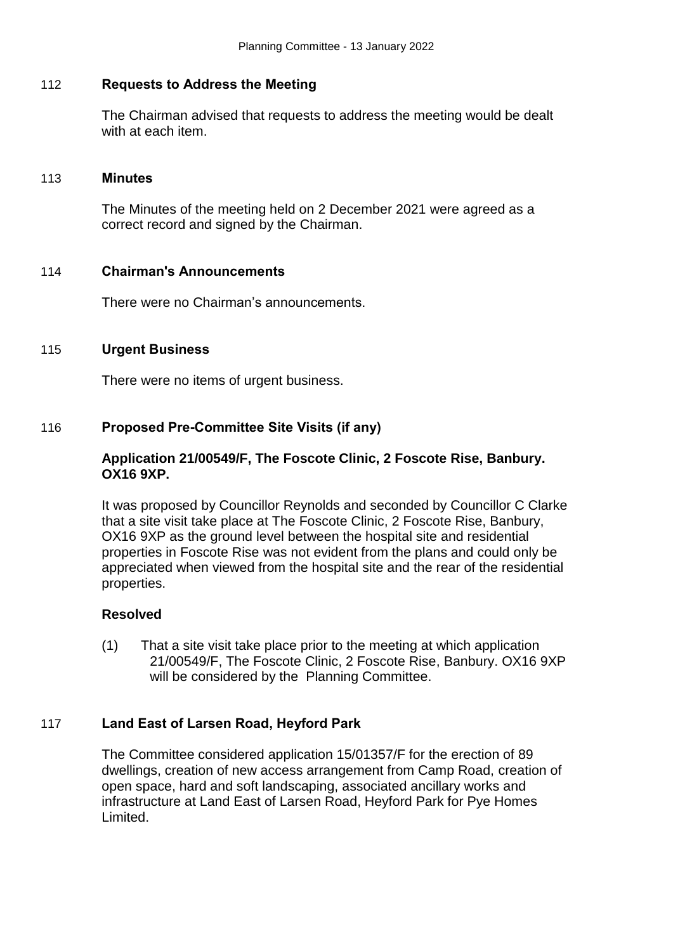#### 112 **Requests to Address the Meeting**

The Chairman advised that requests to address the meeting would be dealt with at each item.

#### 113 **Minutes**

The Minutes of the meeting held on 2 December 2021 were agreed as a correct record and signed by the Chairman.

#### 114 **Chairman's Announcements**

There were no Chairman's announcements.

#### 115 **Urgent Business**

There were no items of urgent business.

#### 116 **Proposed Pre-Committee Site Visits (if any)**

### **Application 21/00549/F, The Foscote Clinic, 2 Foscote Rise, Banbury. OX16 9XP.**

It was proposed by Councillor Reynolds and seconded by Councillor C Clarke that a site visit take place at The Foscote Clinic, 2 Foscote Rise, Banbury, OX16 9XP as the ground level between the hospital site and residential properties in Foscote Rise was not evident from the plans and could only be appreciated when viewed from the hospital site and the rear of the residential properties.

### **Resolved**

(1) That a site visit take place prior to the meeting at which application 21/00549/F, The Foscote Clinic, 2 Foscote Rise, Banbury. OX16 9XP will be considered by the Planning Committee.

### 117 **Land East of Larsen Road, Heyford Park**

The Committee considered application 15/01357/F for the erection of 89 dwellings, creation of new access arrangement from Camp Road, creation of open space, hard and soft landscaping, associated ancillary works and infrastructure at Land East of Larsen Road, Heyford Park for Pye Homes Limited.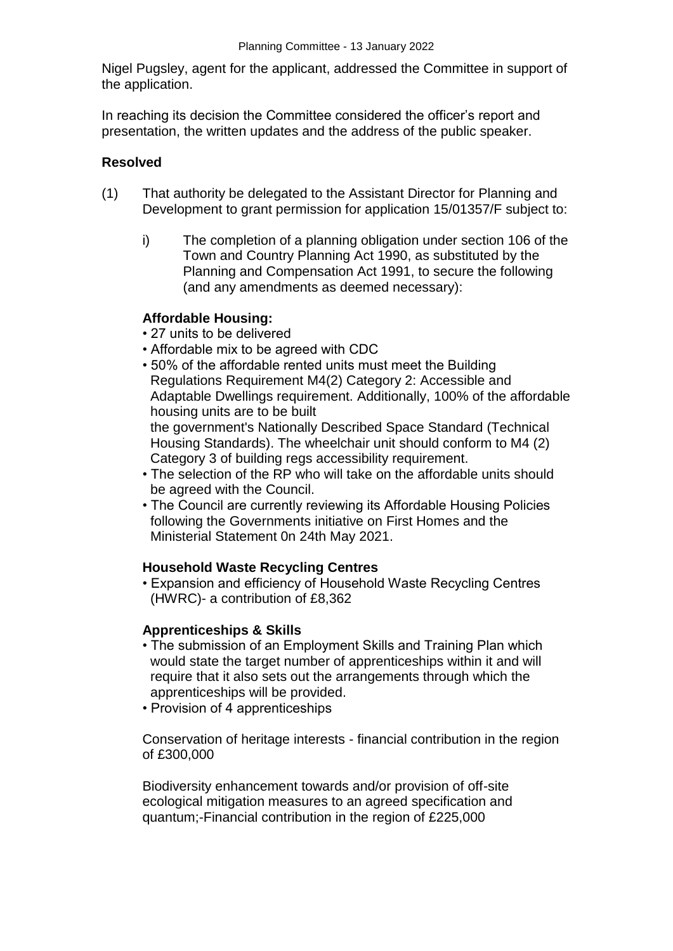Nigel Pugsley, agent for the applicant, addressed the Committee in support of the application.

In reaching its decision the Committee considered the officer's report and presentation, the written updates and the address of the public speaker.

#### **Resolved**

- (1) That authority be delegated to the Assistant Director for Planning and Development to grant permission for application 15/01357/F subject to:
	- i) The completion of a planning obligation under section 106 of the Town and Country Planning Act 1990, as substituted by the Planning and Compensation Act 1991, to secure the following (and any amendments as deemed necessary):

### **Affordable Housing:**

- 27 units to be delivered
- Affordable mix to be agreed with CDC
- 50% of the affordable rented units must meet the Building Regulations Requirement M4(2) Category 2: Accessible and Adaptable Dwellings requirement. Additionally, 100% of the affordable housing units are to be built

the government's Nationally Described Space Standard (Technical Housing Standards). The wheelchair unit should conform to M4 (2) Category 3 of building regs accessibility requirement.

- The selection of the RP who will take on the affordable units should be agreed with the Council.
- The Council are currently reviewing its Affordable Housing Policies following the Governments initiative on First Homes and the Ministerial Statement 0n 24th May 2021.

### **Household Waste Recycling Centres**

• Expansion and efficiency of Household Waste Recycling Centres (HWRC)- a contribution of £8,362

### **Apprenticeships & Skills**

- The submission of an Employment Skills and Training Plan which would state the target number of apprenticeships within it and will require that it also sets out the arrangements through which the apprenticeships will be provided.
- Provision of 4 apprenticeships

Conservation of heritage interests - financial contribution in the region of £300,000

Biodiversity enhancement towards and/or provision of off-site ecological mitigation measures to an agreed specification and quantum;-Financial contribution in the region of £225,000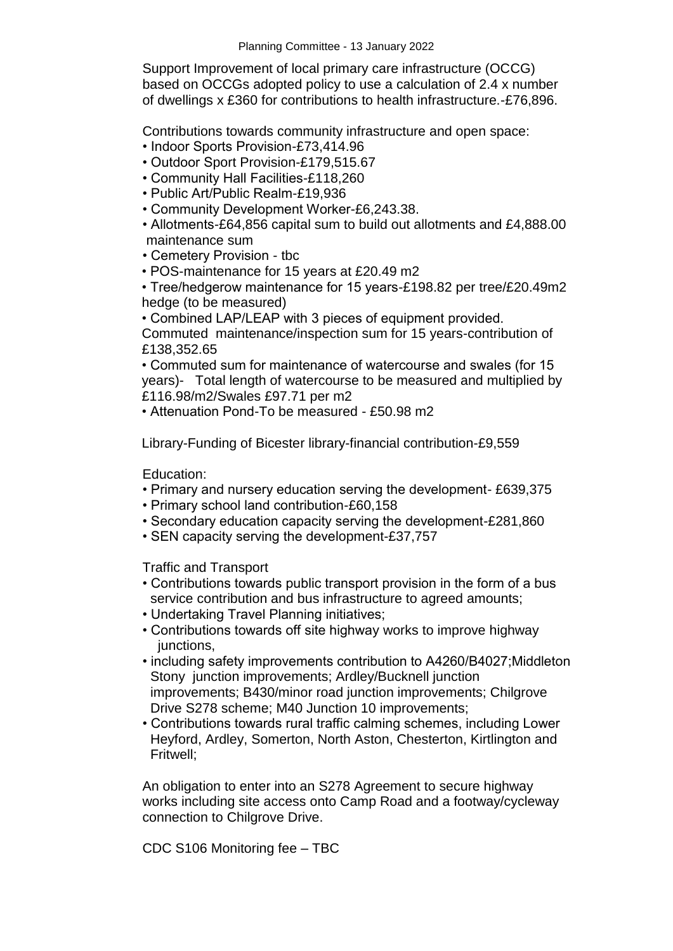Support Improvement of local primary care infrastructure (OCCG) based on OCCGs adopted policy to use a calculation of 2.4 x number of dwellings x £360 for contributions to health infrastructure.-£76,896.

Contributions towards community infrastructure and open space:

- Indoor Sports Provision-£73,414.96
- Outdoor Sport Provision-£179,515.67
- Community Hall Facilities-£118,260
- Public Art/Public Realm-£19,936
- Community Development Worker-£6,243.38.

• Allotments-£64,856 capital sum to build out allotments and £4,888.00 maintenance sum

- Cemetery Provision tbc
- POS-maintenance for 15 years at £20.49 m2

• Tree/hedgerow maintenance for 15 years-£198.82 per tree/£20.49m2 hedge (to be measured)

• Combined LAP/LEAP with 3 pieces of equipment provided.

Commuted maintenance/inspection sum for 15 years-contribution of £138,352.65

• Commuted sum for maintenance of watercourse and swales (for 15 years)- Total length of watercourse to be measured and multiplied by £116.98/m2/Swales £97.71 per m2

• Attenuation Pond-To be measured - £50.98 m2

Library-Funding of Bicester library-financial contribution-£9,559

Education:

- Primary and nursery education serving the development- £639,375
- Primary school land contribution-£60,158
- Secondary education capacity serving the development-£281,860
- SEN capacity serving the development-£37,757

Traffic and Transport

- Contributions towards public transport provision in the form of a bus service contribution and bus infrastructure to agreed amounts;
- Undertaking Travel Planning initiatives;
- Contributions towards off site highway works to improve highway junctions.
- including safety improvements contribution to A4260/B4027;Middleton Stony junction improvements; Ardley/Bucknell junction improvements; B430/minor road junction improvements; Chilgrove Drive S278 scheme; M40 Junction 10 improvements;
- Contributions towards rural traffic calming schemes, including Lower Heyford, Ardley, Somerton, North Aston, Chesterton, Kirtlington and Fritwell;

An obligation to enter into an S278 Agreement to secure highway works including site access onto Camp Road and a footway/cycleway connection to Chilgrove Drive.

CDC S106 Monitoring fee – TBC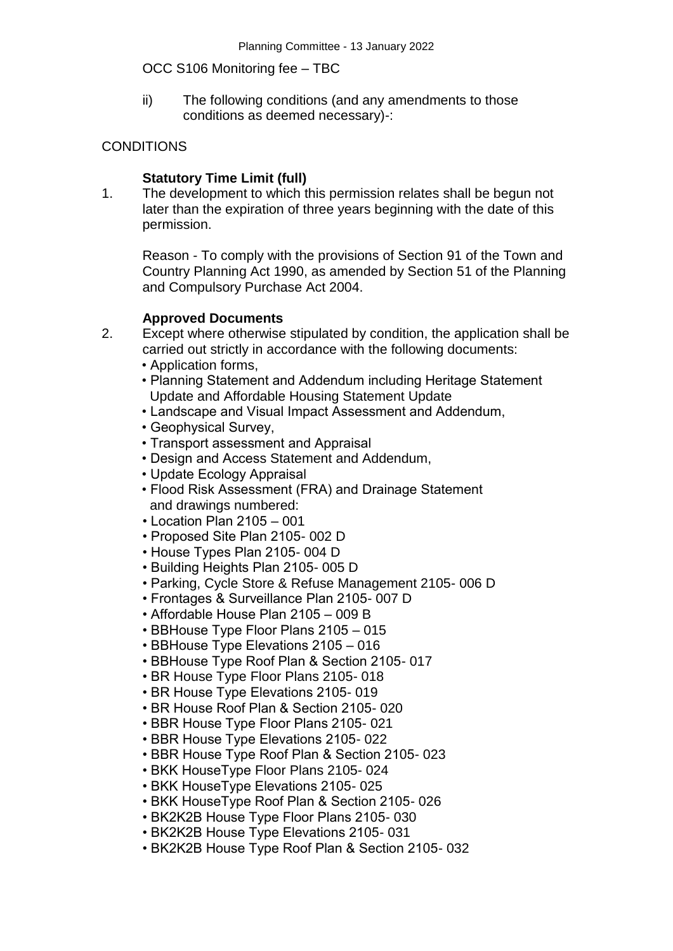### OCC S106 Monitoring fee – TBC

ii) The following conditions (and any amendments to those conditions as deemed necessary)-:

## **CONDITIONS**

## **Statutory Time Limit (full)**

1. The development to which this permission relates shall be begun not later than the expiration of three years beginning with the date of this permission.

Reason - To comply with the provisions of Section 91 of the Town and Country Planning Act 1990, as amended by Section 51 of the Planning and Compulsory Purchase Act 2004.

### **Approved Documents**

- 2. Except where otherwise stipulated by condition, the application shall be carried out strictly in accordance with the following documents:
	- Application forms,
	- Planning Statement and Addendum including Heritage Statement Update and Affordable Housing Statement Update
	- Landscape and Visual Impact Assessment and Addendum,
	- Geophysical Survey,
	- Transport assessment and Appraisal
	- Design and Access Statement and Addendum,
	- Update Ecology Appraisal
	- Flood Risk Assessment (FRA) and Drainage Statement and drawings numbered:
	- Location Plan 2105 001
	- Proposed Site Plan 2105- 002 D
	- House Types Plan 2105- 004 D
	- Building Heights Plan 2105- 005 D
	- Parking, Cycle Store & Refuse Management 2105- 006 D
	- Frontages & Surveillance Plan 2105- 007 D
	- Affordable House Plan 2105 009 B
	- BBHouse Type Floor Plans 2105 015
	- BBHouse Type Elevations 2105 016
	- BBHouse Type Roof Plan & Section 2105- 017
	- BR House Type Floor Plans 2105- 018
	- BR House Type Elevations 2105- 019
	- BR House Roof Plan & Section 2105- 020
	- BBR House Type Floor Plans 2105- 021
	- BBR House Type Elevations 2105- 022
	- BBR House Type Roof Plan & Section 2105- 023
	- BKK HouseType Floor Plans 2105- 024
	- BKK HouseType Elevations 2105- 025
	- BKK HouseType Roof Plan & Section 2105- 026
	- BK2K2B House Type Floor Plans 2105- 030
	- BK2K2B House Type Elevations 2105- 031
	- BK2K2B House Type Roof Plan & Section 2105- 032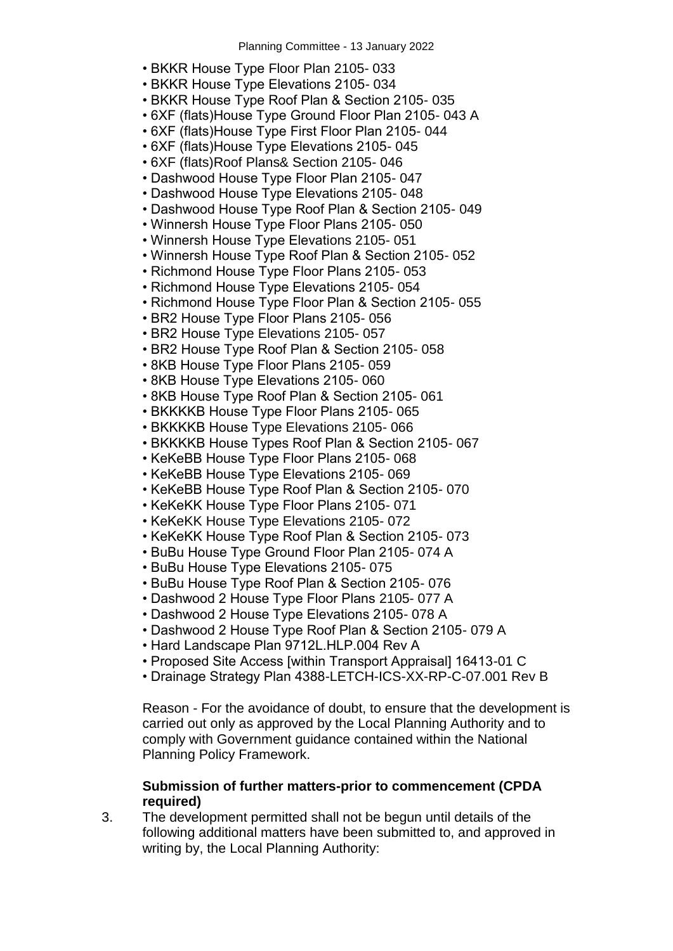- BKKR House Type Floor Plan 2105- 033
- BKKR House Type Elevations 2105- 034
- BKKR House Type Roof Plan & Section 2105- 035
- 6XF (flats)House Type Ground Floor Plan 2105- 043 A
- 6XF (flats)House Type First Floor Plan 2105- 044
- 6XF (flats)House Type Elevations 2105- 045
- 6XF (flats)Roof Plans& Section 2105- 046
- Dashwood House Type Floor Plan 2105- 047
- Dashwood House Type Elevations 2105- 048
- Dashwood House Type Roof Plan & Section 2105- 049
- Winnersh House Type Floor Plans 2105- 050
- Winnersh House Type Elevations 2105- 051
- Winnersh House Type Roof Plan & Section 2105- 052
- Richmond House Type Floor Plans 2105- 053
- Richmond House Type Elevations 2105- 054
- Richmond House Type Floor Plan & Section 2105- 055
- BR2 House Type Floor Plans 2105- 056
- BR2 House Type Elevations 2105- 057
- BR2 House Type Roof Plan & Section 2105- 058
- 8KB House Type Floor Plans 2105- 059
- 8KB House Type Elevations 2105- 060
- 8KB House Type Roof Plan & Section 2105- 061
- BKKKKB House Type Floor Plans 2105- 065
- BKKKKB House Type Elevations 2105- 066
- BKKKKB House Types Roof Plan & Section 2105- 067
- KeKeBB House Type Floor Plans 2105- 068
- KeKeBB House Type Elevations 2105- 069
- KeKeBB House Type Roof Plan & Section 2105- 070
- KeKeKK House Type Floor Plans 2105- 071
- KeKeKK House Type Elevations 2105- 072
- KeKeKK House Type Roof Plan & Section 2105- 073
- BuBu House Type Ground Floor Plan 2105- 074 A
- BuBu House Type Elevations 2105- 075
- BuBu House Type Roof Plan & Section 2105- 076
- Dashwood 2 House Type Floor Plans 2105- 077 A
- Dashwood 2 House Type Elevations 2105- 078 A
- Dashwood 2 House Type Roof Plan & Section 2105- 079 A
- Hard Landscape Plan 9712L.HLP.004 Rev A
- Proposed Site Access [within Transport Appraisal] 16413-01 C
- Drainage Strategy Plan 4388-LETCH-ICS-XX-RP-C-07.001 Rev B

Reason - For the avoidance of doubt, to ensure that the development is carried out only as approved by the Local Planning Authority and to comply with Government guidance contained within the National Planning Policy Framework.

#### **Submission of further matters-prior to commencement (CPDA required)**

3. The development permitted shall not be begun until details of the following additional matters have been submitted to, and approved in writing by, the Local Planning Authority: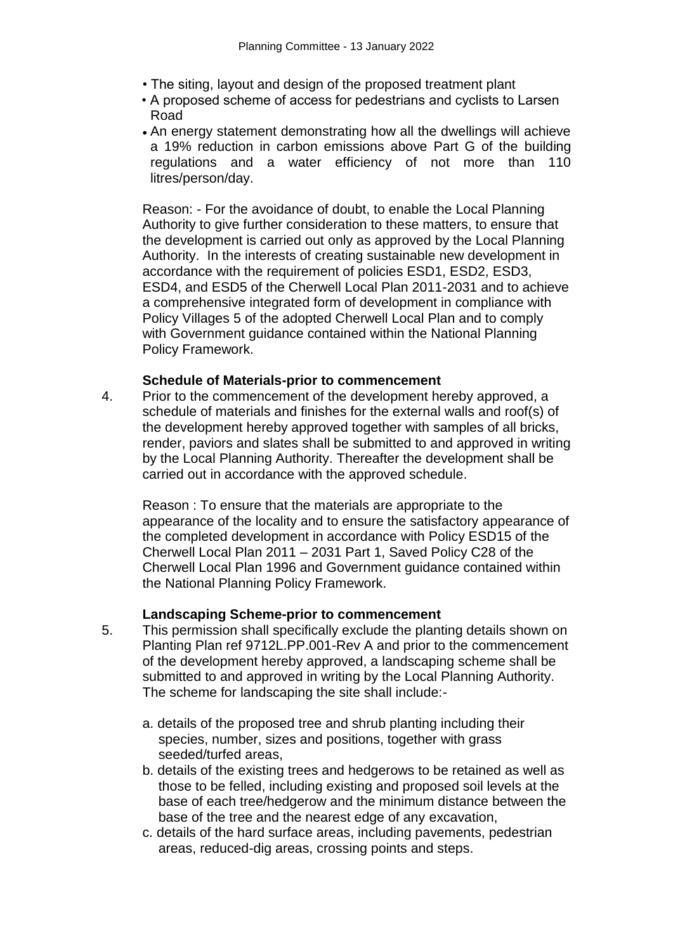- The siting, layout and design of the proposed treatment plant
- A proposed scheme of access for pedestrians and cyclists to Larsen Road
- An energy statement demonstrating how all the dwellings will achieve a 19% reduction in carbon emissions above Part G of the building regulations and a water efficiency of not more than 110 litres/person/day.

Reason: - For the avoidance of doubt, to enable the Local Planning Authority to give further consideration to these matters, to ensure that the development is carried out only as approved by the Local Planning Authority. In the interests of creating sustainable new development in accordance with the requirement of policies ESD1, ESD2, ESD3, ESD4, and ESD5 of the Cherwell Local Plan 2011-2031 and to achieve a comprehensive integrated form of development in compliance with Policy Villages 5 of the adopted Cherwell Local Plan and to comply with Government guidance contained within the National Planning Policy Framework.

#### **Schedule of Materials-prior to commencement**

4. Prior to the commencement of the development hereby approved, a schedule of materials and finishes for the external walls and roof(s) of the development hereby approved together with samples of all bricks, render, paviors and slates shall be submitted to and approved in writing by the Local Planning Authority. Thereafter the development shall be carried out in accordance with the approved schedule.

Reason : To ensure that the materials are appropriate to the appearance of the locality and to ensure the satisfactory appearance of the completed development in accordance with Policy ESD15 of the Cherwell Local Plan 2011 – 2031 Part 1, Saved Policy C28 of the Cherwell Local Plan 1996 and Government guidance contained within the National Planning Policy Framework.

#### **Landscaping Scheme-prior to commencement**

- 5. This permission shall specifically exclude the planting details shown on Planting Plan ref 9712L.PP.001-Rev A and prior to the commencement of the development hereby approved, a landscaping scheme shall be submitted to and approved in writing by the Local Planning Authority. The scheme for landscaping the site shall include:
	- a. details of the proposed tree and shrub planting including their species, number, sizes and positions, together with grass seeded/turfed areas,
	- b. details of the existing trees and hedgerows to be retained as well as those to be felled, including existing and proposed soil levels at the base of each tree/hedgerow and the minimum distance between the base of the tree and the nearest edge of any excavation,
	- c. details of the hard surface areas, including pavements, pedestrian areas, reduced-dig areas, crossing points and steps.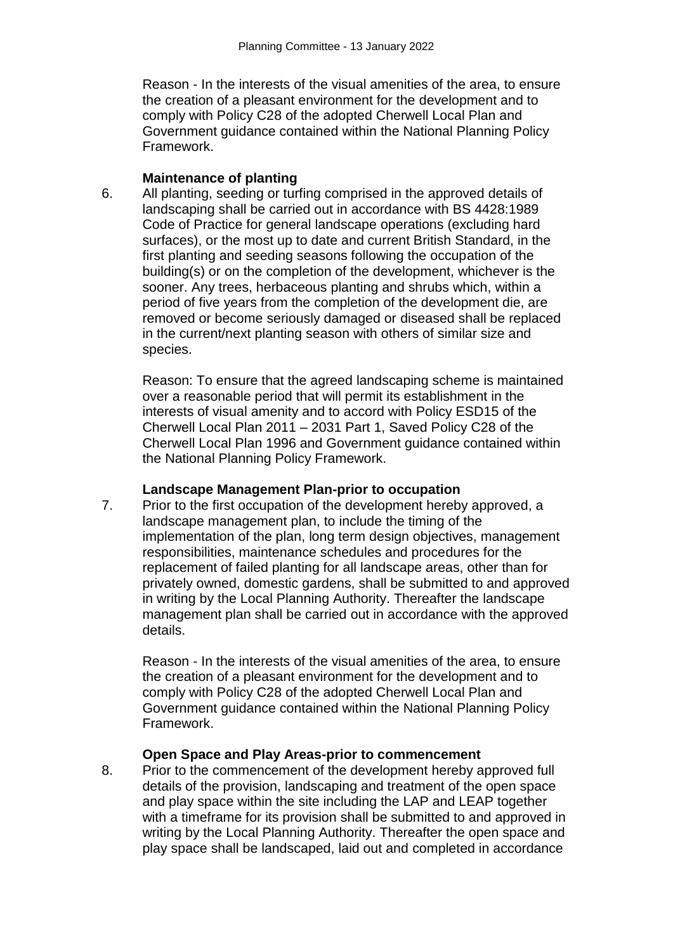Reason - In the interests of the visual amenities of the area, to ensure the creation of a pleasant environment for the development and to comply with Policy C28 of the adopted Cherwell Local Plan and Government guidance contained within the National Planning Policy Framework.

#### **Maintenance of planting**

6. All planting, seeding or turfing comprised in the approved details of landscaping shall be carried out in accordance with BS 4428:1989 Code of Practice for general landscape operations (excluding hard surfaces), or the most up to date and current British Standard, in the first planting and seeding seasons following the occupation of the building(s) or on the completion of the development, whichever is the sooner. Any trees, herbaceous planting and shrubs which, within a period of five years from the completion of the development die, are removed or become seriously damaged or diseased shall be replaced in the current/next planting season with others of similar size and species.

Reason: To ensure that the agreed landscaping scheme is maintained over a reasonable period that will permit its establishment in the interests of visual amenity and to accord with Policy ESD15 of the Cherwell Local Plan 2011 – 2031 Part 1, Saved Policy C28 of the Cherwell Local Plan 1996 and Government guidance contained within the National Planning Policy Framework.

### **Landscape Management Plan-prior to occupation**

7. Prior to the first occupation of the development hereby approved, a landscape management plan, to include the timing of the implementation of the plan, long term design objectives, management responsibilities, maintenance schedules and procedures for the replacement of failed planting for all landscape areas, other than for privately owned, domestic gardens, shall be submitted to and approved in writing by the Local Planning Authority. Thereafter the landscape management plan shall be carried out in accordance with the approved details.

Reason - In the interests of the visual amenities of the area, to ensure the creation of a pleasant environment for the development and to comply with Policy C28 of the adopted Cherwell Local Plan and Government guidance contained within the National Planning Policy Framework.

## **Open Space and Play Areas-prior to commencement**

8. Prior to the commencement of the development hereby approved full details of the provision, landscaping and treatment of the open space and play space within the site including the LAP and LEAP together with a timeframe for its provision shall be submitted to and approved in writing by the Local Planning Authority. Thereafter the open space and play space shall be landscaped, laid out and completed in accordance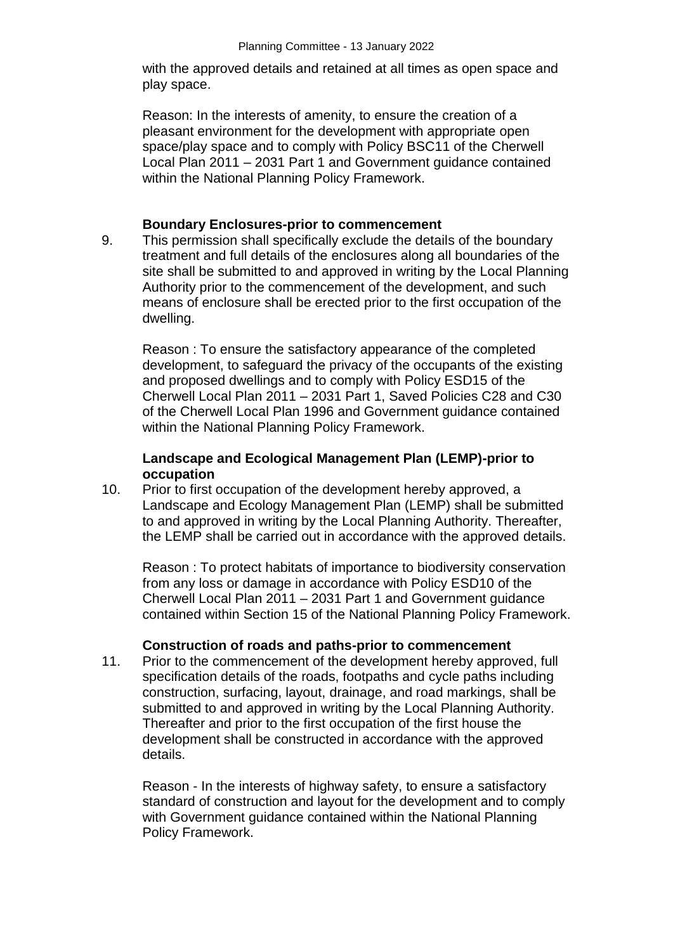with the approved details and retained at all times as open space and play space.

Reason: In the interests of amenity, to ensure the creation of a pleasant environment for the development with appropriate open space/play space and to comply with Policy BSC11 of the Cherwell Local Plan 2011 – 2031 Part 1 and Government guidance contained within the National Planning Policy Framework.

### **Boundary Enclosures-prior to commencement**

9. This permission shall specifically exclude the details of the boundary treatment and full details of the enclosures along all boundaries of the site shall be submitted to and approved in writing by the Local Planning Authority prior to the commencement of the development, and such means of enclosure shall be erected prior to the first occupation of the dwelling.

Reason : To ensure the satisfactory appearance of the completed development, to safeguard the privacy of the occupants of the existing and proposed dwellings and to comply with Policy ESD15 of the Cherwell Local Plan 2011 – 2031 Part 1, Saved Policies C28 and C30 of the Cherwell Local Plan 1996 and Government guidance contained within the National Planning Policy Framework.

## **Landscape and Ecological Management Plan (LEMP)-prior to occupation**

10. Prior to first occupation of the development hereby approved, a Landscape and Ecology Management Plan (LEMP) shall be submitted to and approved in writing by the Local Planning Authority. Thereafter, the LEMP shall be carried out in accordance with the approved details.

Reason : To protect habitats of importance to biodiversity conservation from any loss or damage in accordance with Policy ESD10 of the Cherwell Local Plan 2011 – 2031 Part 1 and Government guidance contained within Section 15 of the National Planning Policy Framework.

### **Construction of roads and paths-prior to commencement**

11. Prior to the commencement of the development hereby approved, full specification details of the roads, footpaths and cycle paths including construction, surfacing, layout, drainage, and road markings, shall be submitted to and approved in writing by the Local Planning Authority. Thereafter and prior to the first occupation of the first house the development shall be constructed in accordance with the approved details.

Reason - In the interests of highway safety, to ensure a satisfactory standard of construction and layout for the development and to comply with Government guidance contained within the National Planning Policy Framework.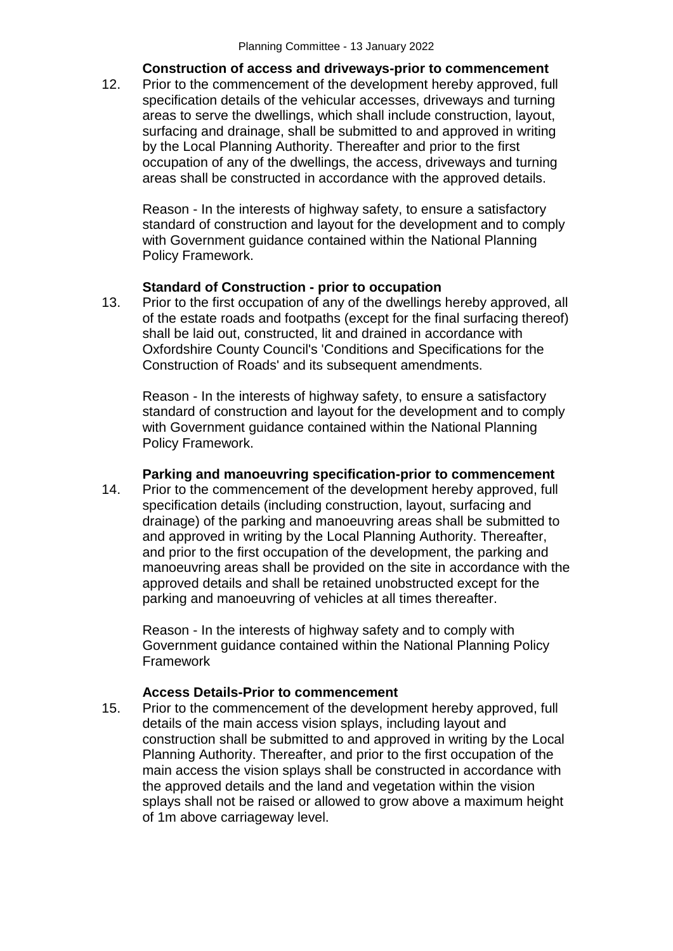### **Construction of access and driveways-prior to commencement**

12. Prior to the commencement of the development hereby approved, full specification details of the vehicular accesses, driveways and turning areas to serve the dwellings, which shall include construction, layout, surfacing and drainage, shall be submitted to and approved in writing by the Local Planning Authority. Thereafter and prior to the first occupation of any of the dwellings, the access, driveways and turning areas shall be constructed in accordance with the approved details.

Reason - In the interests of highway safety, to ensure a satisfactory standard of construction and layout for the development and to comply with Government guidance contained within the National Planning Policy Framework.

## **Standard of Construction - prior to occupation**

13. Prior to the first occupation of any of the dwellings hereby approved, all of the estate roads and footpaths (except for the final surfacing thereof) shall be laid out, constructed, lit and drained in accordance with Oxfordshire County Council's 'Conditions and Specifications for the Construction of Roads' and its subsequent amendments.

Reason - In the interests of highway safety, to ensure a satisfactory standard of construction and layout for the development and to comply with Government guidance contained within the National Planning Policy Framework.

### **Parking and manoeuvring specification-prior to commencement**

14. Prior to the commencement of the development hereby approved, full specification details (including construction, layout, surfacing and drainage) of the parking and manoeuvring areas shall be submitted to and approved in writing by the Local Planning Authority. Thereafter, and prior to the first occupation of the development, the parking and manoeuvring areas shall be provided on the site in accordance with the approved details and shall be retained unobstructed except for the parking and manoeuvring of vehicles at all times thereafter.

Reason - In the interests of highway safety and to comply with Government guidance contained within the National Planning Policy Framework

# **Access Details-Prior to commencement**

15. Prior to the commencement of the development hereby approved, full details of the main access vision splays, including layout and construction shall be submitted to and approved in writing by the Local Planning Authority. Thereafter, and prior to the first occupation of the main access the vision splays shall be constructed in accordance with the approved details and the land and vegetation within the vision splays shall not be raised or allowed to grow above a maximum height of 1m above carriageway level.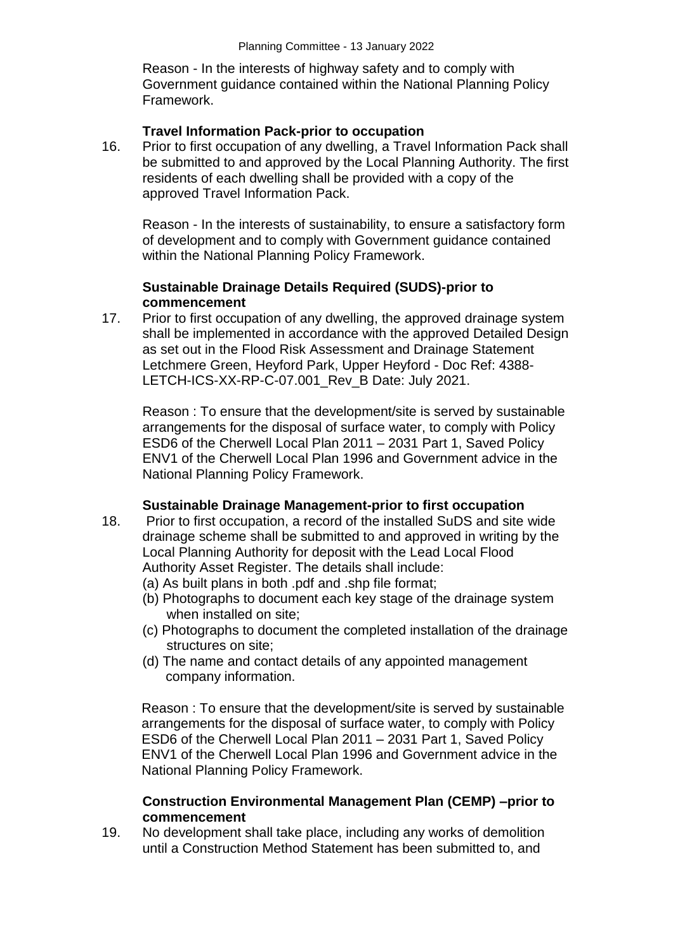Reason - In the interests of highway safety and to comply with Government guidance contained within the National Planning Policy Framework.

#### **Travel Information Pack-prior to occupation**

16. Prior to first occupation of any dwelling, a Travel Information Pack shall be submitted to and approved by the Local Planning Authority. The first residents of each dwelling shall be provided with a copy of the approved Travel Information Pack.

Reason - In the interests of sustainability, to ensure a satisfactory form of development and to comply with Government guidance contained within the National Planning Policy Framework.

### **Sustainable Drainage Details Required (SUDS)-prior to commencement**

17. Prior to first occupation of any dwelling, the approved drainage system shall be implemented in accordance with the approved Detailed Design as set out in the Flood Risk Assessment and Drainage Statement Letchmere Green, Heyford Park, Upper Heyford - Doc Ref: 4388- LETCH-ICS-XX-RP-C-07.001 Rev B Date: July 2021.

Reason : To ensure that the development/site is served by sustainable arrangements for the disposal of surface water, to comply with Policy ESD6 of the Cherwell Local Plan 2011 – 2031 Part 1, Saved Policy ENV1 of the Cherwell Local Plan 1996 and Government advice in the National Planning Policy Framework.

### **Sustainable Drainage Management-prior to first occupation**

- 18. Prior to first occupation, a record of the installed SuDS and site wide drainage scheme shall be submitted to and approved in writing by the Local Planning Authority for deposit with the Lead Local Flood Authority Asset Register. The details shall include:
	- (a) As built plans in both .pdf and .shp file format;
	- (b) Photographs to document each key stage of the drainage system when installed on site;
	- (c) Photographs to document the completed installation of the drainage structures on site;
	- (d) The name and contact details of any appointed management company information.

Reason : To ensure that the development/site is served by sustainable arrangements for the disposal of surface water, to comply with Policy ESD6 of the Cherwell Local Plan 2011 – 2031 Part 1, Saved Policy ENV1 of the Cherwell Local Plan 1996 and Government advice in the National Planning Policy Framework.

#### **Construction Environmental Management Plan (CEMP) –prior to commencement**

19. No development shall take place, including any works of demolition until a Construction Method Statement has been submitted to, and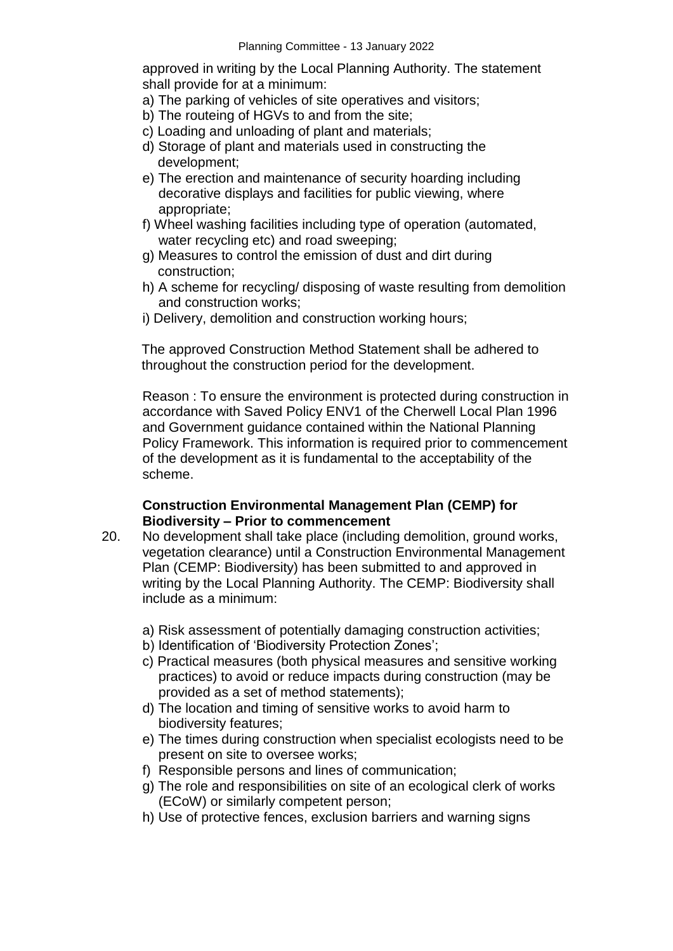approved in writing by the Local Planning Authority. The statement shall provide for at a minimum:

- a) The parking of vehicles of site operatives and visitors;
- b) The routeing of HGVs to and from the site;
- c) Loading and unloading of plant and materials;
- d) Storage of plant and materials used in constructing the development;
- e) The erection and maintenance of security hoarding including decorative displays and facilities for public viewing, where appropriate;
- f) Wheel washing facilities including type of operation (automated, water recycling etc) and road sweeping;
- g) Measures to control the emission of dust and dirt during construction;
- h) A scheme for recycling/ disposing of waste resulting from demolition and construction works;
- i) Delivery, demolition and construction working hours;

The approved Construction Method Statement shall be adhered to throughout the construction period for the development.

Reason : To ensure the environment is protected during construction in accordance with Saved Policy ENV1 of the Cherwell Local Plan 1996 and Government guidance contained within the National Planning Policy Framework. This information is required prior to commencement of the development as it is fundamental to the acceptability of the scheme.

### **Construction Environmental Management Plan (CEMP) for Biodiversity – Prior to commencement**

- 20. No development shall take place (including demolition, ground works, vegetation clearance) until a Construction Environmental Management Plan (CEMP: Biodiversity) has been submitted to and approved in writing by the Local Planning Authority. The CEMP: Biodiversity shall include as a minimum:
	- a) Risk assessment of potentially damaging construction activities;
	- b) Identification of 'Biodiversity Protection Zones';
	- c) Practical measures (both physical measures and sensitive working practices) to avoid or reduce impacts during construction (may be provided as a set of method statements);
	- d) The location and timing of sensitive works to avoid harm to biodiversity features;
	- e) The times during construction when specialist ecologists need to be present on site to oversee works;
	- f) Responsible persons and lines of communication;
	- g) The role and responsibilities on site of an ecological clerk of works (ECoW) or similarly competent person;
	- h) Use of protective fences, exclusion barriers and warning signs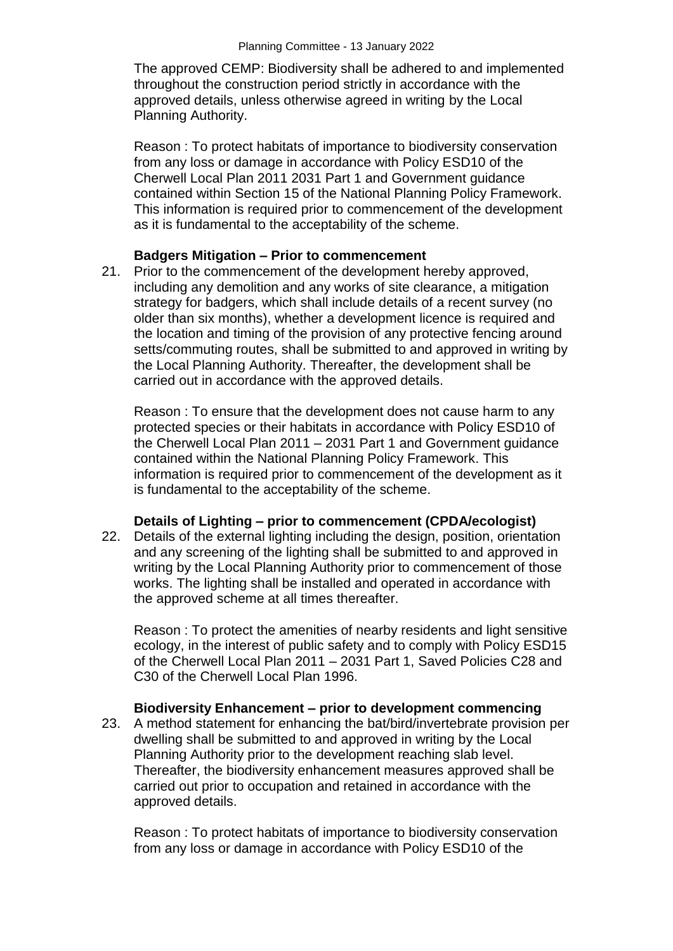The approved CEMP: Biodiversity shall be adhered to and implemented throughout the construction period strictly in accordance with the approved details, unless otherwise agreed in writing by the Local Planning Authority.

Reason : To protect habitats of importance to biodiversity conservation from any loss or damage in accordance with Policy ESD10 of the Cherwell Local Plan 2011 2031 Part 1 and Government guidance contained within Section 15 of the National Planning Policy Framework. This information is required prior to commencement of the development as it is fundamental to the acceptability of the scheme.

#### **Badgers Mitigation – Prior to commencement**

21. Prior to the commencement of the development hereby approved, including any demolition and any works of site clearance, a mitigation strategy for badgers, which shall include details of a recent survey (no older than six months), whether a development licence is required and the location and timing of the provision of any protective fencing around setts/commuting routes, shall be submitted to and approved in writing by the Local Planning Authority. Thereafter, the development shall be carried out in accordance with the approved details.

Reason : To ensure that the development does not cause harm to any protected species or their habitats in accordance with Policy ESD10 of the Cherwell Local Plan 2011 – 2031 Part 1 and Government guidance contained within the National Planning Policy Framework. This information is required prior to commencement of the development as it is fundamental to the acceptability of the scheme.

#### **Details of Lighting – prior to commencement (CPDA/ecologist)**

22. Details of the external lighting including the design, position, orientation and any screening of the lighting shall be submitted to and approved in writing by the Local Planning Authority prior to commencement of those works. The lighting shall be installed and operated in accordance with the approved scheme at all times thereafter.

Reason : To protect the amenities of nearby residents and light sensitive ecology, in the interest of public safety and to comply with Policy ESD15 of the Cherwell Local Plan 2011 – 2031 Part 1, Saved Policies C28 and C30 of the Cherwell Local Plan 1996.

### **Biodiversity Enhancement – prior to development commencing**

23. A method statement for enhancing the bat/bird/invertebrate provision per dwelling shall be submitted to and approved in writing by the Local Planning Authority prior to the development reaching slab level. Thereafter, the biodiversity enhancement measures approved shall be carried out prior to occupation and retained in accordance with the approved details.

Reason : To protect habitats of importance to biodiversity conservation from any loss or damage in accordance with Policy ESD10 of the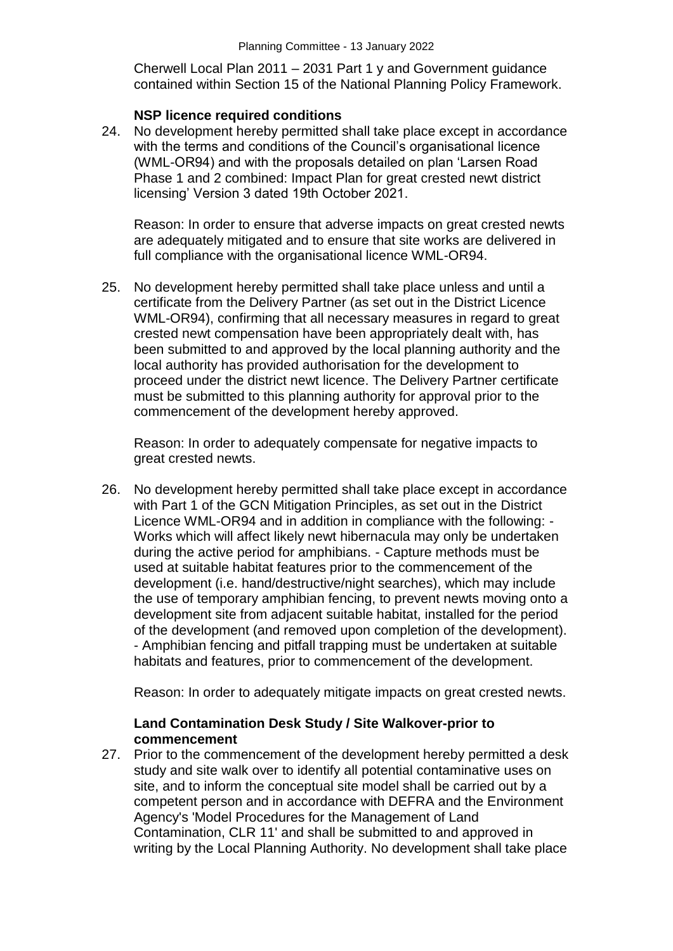Cherwell Local Plan 2011 – 2031 Part 1 y and Government guidance contained within Section 15 of the National Planning Policy Framework.

#### **NSP licence required conditions**

24. No development hereby permitted shall take place except in accordance with the terms and conditions of the Council's organisational licence (WML-OR94) and with the proposals detailed on plan 'Larsen Road Phase 1 and 2 combined: Impact Plan for great crested newt district licensing' Version 3 dated 19th October 2021.

Reason: In order to ensure that adverse impacts on great crested newts are adequately mitigated and to ensure that site works are delivered in full compliance with the organisational licence WML-OR94.

25. No development hereby permitted shall take place unless and until a certificate from the Delivery Partner (as set out in the District Licence WML-OR94), confirming that all necessary measures in regard to great crested newt compensation have been appropriately dealt with, has been submitted to and approved by the local planning authority and the local authority has provided authorisation for the development to proceed under the district newt licence. The Delivery Partner certificate must be submitted to this planning authority for approval prior to the commencement of the development hereby approved.

Reason: In order to adequately compensate for negative impacts to great crested newts.

26. No development hereby permitted shall take place except in accordance with Part 1 of the GCN Mitigation Principles, as set out in the District Licence WML-OR94 and in addition in compliance with the following: - Works which will affect likely newt hibernacula may only be undertaken during the active period for amphibians. - Capture methods must be used at suitable habitat features prior to the commencement of the development (i.e. hand/destructive/night searches), which may include the use of temporary amphibian fencing, to prevent newts moving onto a development site from adjacent suitable habitat, installed for the period of the development (and removed upon completion of the development). - Amphibian fencing and pitfall trapping must be undertaken at suitable habitats and features, prior to commencement of the development.

Reason: In order to adequately mitigate impacts on great crested newts.

### **Land Contamination Desk Study / Site Walkover-prior to commencement**

27. Prior to the commencement of the development hereby permitted a desk study and site walk over to identify all potential contaminative uses on site, and to inform the conceptual site model shall be carried out by a competent person and in accordance with DEFRA and the Environment Agency's 'Model Procedures for the Management of Land Contamination, CLR 11' and shall be submitted to and approved in writing by the Local Planning Authority. No development shall take place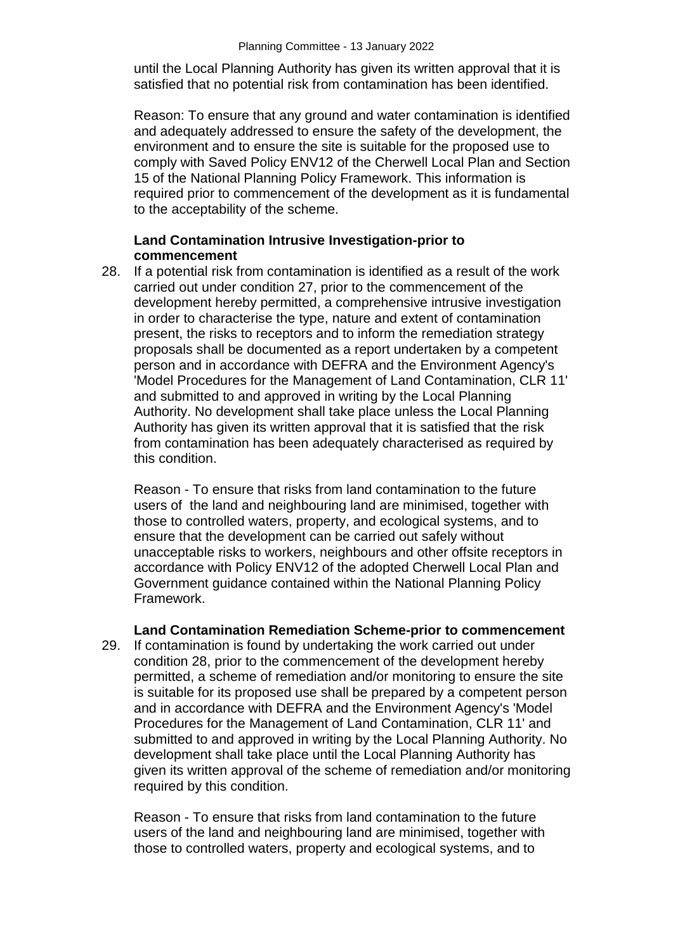until the Local Planning Authority has given its written approval that it is satisfied that no potential risk from contamination has been identified.

Reason: To ensure that any ground and water contamination is identified and adequately addressed to ensure the safety of the development, the environment and to ensure the site is suitable for the proposed use to comply with Saved Policy ENV12 of the Cherwell Local Plan and Section 15 of the National Planning Policy Framework. This information is required prior to commencement of the development as it is fundamental to the acceptability of the scheme.

### **Land Contamination Intrusive Investigation-prior to commencement**

28. If a potential risk from contamination is identified as a result of the work carried out under condition 27, prior to the commencement of the development hereby permitted, a comprehensive intrusive investigation in order to characterise the type, nature and extent of contamination present, the risks to receptors and to inform the remediation strategy proposals shall be documented as a report undertaken by a competent person and in accordance with DEFRA and the Environment Agency's 'Model Procedures for the Management of Land Contamination, CLR 11' and submitted to and approved in writing by the Local Planning Authority. No development shall take place unless the Local Planning Authority has given its written approval that it is satisfied that the risk from contamination has been adequately characterised as required by this condition.

Reason - To ensure that risks from land contamination to the future users of the land and neighbouring land are minimised, together with those to controlled waters, property, and ecological systems, and to ensure that the development can be carried out safely without unacceptable risks to workers, neighbours and other offsite receptors in accordance with Policy ENV12 of the adopted Cherwell Local Plan and Government guidance contained within the National Planning Policy Framework.

#### **Land Contamination Remediation Scheme-prior to commencement**

29. If contamination is found by undertaking the work carried out under condition 28, prior to the commencement of the development hereby permitted, a scheme of remediation and/or monitoring to ensure the site is suitable for its proposed use shall be prepared by a competent person and in accordance with DEFRA and the Environment Agency's 'Model Procedures for the Management of Land Contamination, CLR 11' and submitted to and approved in writing by the Local Planning Authority. No development shall take place until the Local Planning Authority has given its written approval of the scheme of remediation and/or monitoring required by this condition.

Reason - To ensure that risks from land contamination to the future users of the land and neighbouring land are minimised, together with those to controlled waters, property and ecological systems, and to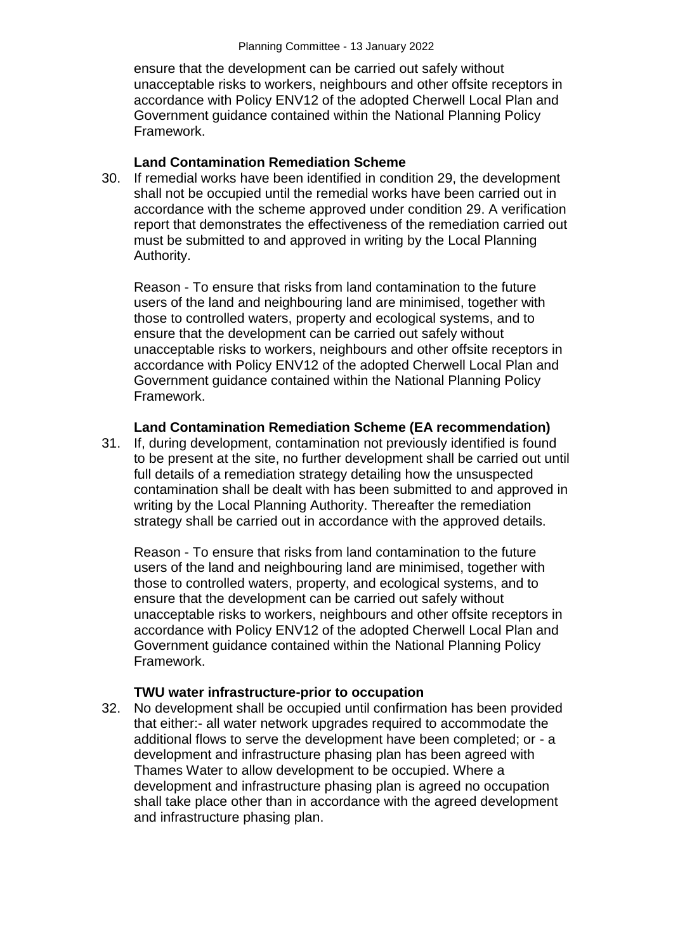ensure that the development can be carried out safely without unacceptable risks to workers, neighbours and other offsite receptors in accordance with Policy ENV12 of the adopted Cherwell Local Plan and Government guidance contained within the National Planning Policy Framework.

#### **Land Contamination Remediation Scheme**

30. If remedial works have been identified in condition 29, the development shall not be occupied until the remedial works have been carried out in accordance with the scheme approved under condition 29. A verification report that demonstrates the effectiveness of the remediation carried out must be submitted to and approved in writing by the Local Planning Authority.

Reason - To ensure that risks from land contamination to the future users of the land and neighbouring land are minimised, together with those to controlled waters, property and ecological systems, and to ensure that the development can be carried out safely without unacceptable risks to workers, neighbours and other offsite receptors in accordance with Policy ENV12 of the adopted Cherwell Local Plan and Government guidance contained within the National Planning Policy Framework.

#### **Land Contamination Remediation Scheme (EA recommendation)**

31. If, during development, contamination not previously identified is found to be present at the site, no further development shall be carried out until full details of a remediation strategy detailing how the unsuspected contamination shall be dealt with has been submitted to and approved in writing by the Local Planning Authority. Thereafter the remediation strategy shall be carried out in accordance with the approved details.

Reason - To ensure that risks from land contamination to the future users of the land and neighbouring land are minimised, together with those to controlled waters, property, and ecological systems, and to ensure that the development can be carried out safely without unacceptable risks to workers, neighbours and other offsite receptors in accordance with Policy ENV12 of the adopted Cherwell Local Plan and Government guidance contained within the National Planning Policy Framework.

#### **TWU water infrastructure-prior to occupation**

32. No development shall be occupied until confirmation has been provided that either:- all water network upgrades required to accommodate the additional flows to serve the development have been completed; or - a development and infrastructure phasing plan has been agreed with Thames Water to allow development to be occupied. Where a development and infrastructure phasing plan is agreed no occupation shall take place other than in accordance with the agreed development and infrastructure phasing plan.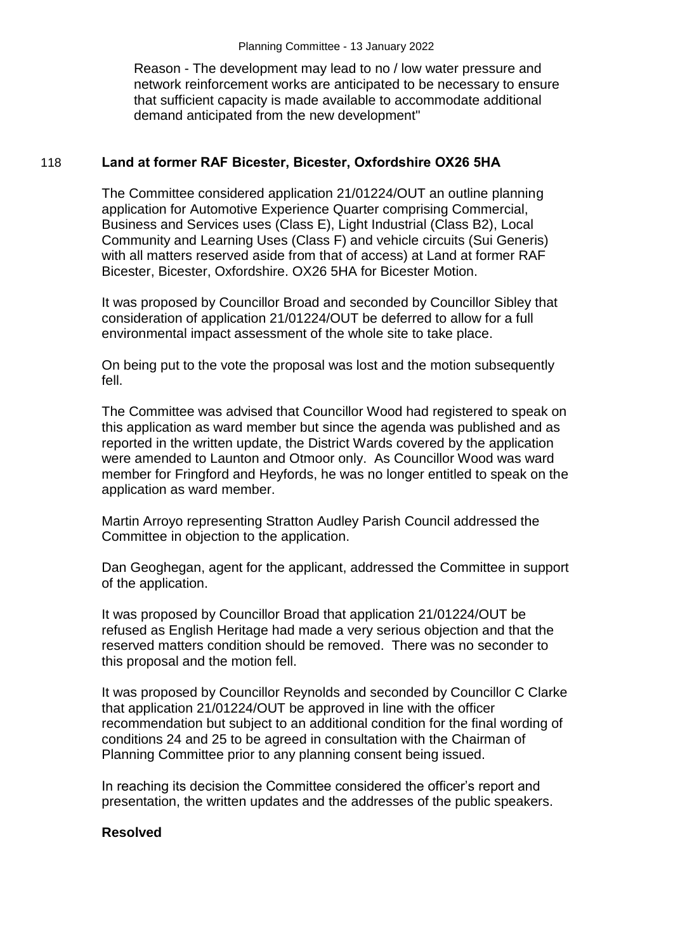Reason - The development may lead to no / low water pressure and network reinforcement works are anticipated to be necessary to ensure that sufficient capacity is made available to accommodate additional demand anticipated from the new development"

## 118 **Land at former RAF Bicester, Bicester, Oxfordshire OX26 5HA**

The Committee considered application 21/01224/OUT an outline planning application for Automotive Experience Quarter comprising Commercial, Business and Services uses (Class E), Light Industrial (Class B2), Local Community and Learning Uses (Class F) and vehicle circuits (Sui Generis) with all matters reserved aside from that of access) at Land at former RAF Bicester, Bicester, Oxfordshire. OX26 5HA for Bicester Motion.

It was proposed by Councillor Broad and seconded by Councillor Sibley that consideration of application 21/01224/OUT be deferred to allow for a full environmental impact assessment of the whole site to take place.

On being put to the vote the proposal was lost and the motion subsequently fell.

The Committee was advised that Councillor Wood had registered to speak on this application as ward member but since the agenda was published and as reported in the written update, the District Wards covered by the application were amended to Launton and Otmoor only. As Councillor Wood was ward member for Fringford and Heyfords, he was no longer entitled to speak on the application as ward member.

Martin Arroyo representing Stratton Audley Parish Council addressed the Committee in objection to the application.

Dan Geoghegan, agent for the applicant, addressed the Committee in support of the application.

It was proposed by Councillor Broad that application 21/01224/OUT be refused as English Heritage had made a very serious objection and that the reserved matters condition should be removed. There was no seconder to this proposal and the motion fell.

It was proposed by Councillor Reynolds and seconded by Councillor C Clarke that application 21/01224/OUT be approved in line with the officer recommendation but subject to an additional condition for the final wording of conditions 24 and 25 to be agreed in consultation with the Chairman of Planning Committee prior to any planning consent being issued.

In reaching its decision the Committee considered the officer's report and presentation, the written updates and the addresses of the public speakers.

### **Resolved**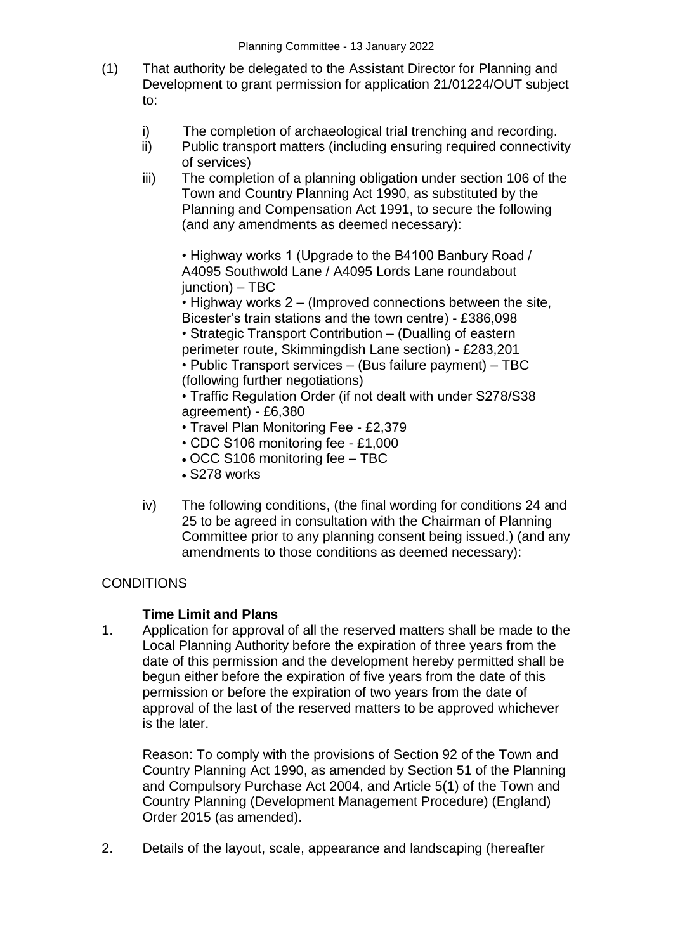- (1) That authority be delegated to the Assistant Director for Planning and Development to grant permission for application 21/01224/OUT subject to:
	- i) The completion of archaeological trial trenching and recording.
	- ii) Public transport matters (including ensuring required connectivity of services)
	- iii) The completion of a planning obligation under section 106 of the Town and Country Planning Act 1990, as substituted by the Planning and Compensation Act 1991, to secure the following (and any amendments as deemed necessary):

• Highway works 1 (Upgrade to the B4100 Banbury Road / A4095 Southwold Lane / A4095 Lords Lane roundabout junction) – TBC

• Highway works 2 – (Improved connections between the site, Bicester's train stations and the town centre) - £386,098

• Strategic Transport Contribution – (Dualling of eastern perimeter route, Skimmingdish Lane section) - £283,201

• Public Transport services – (Bus failure payment) – TBC (following further negotiations)

• Traffic Regulation Order (if not dealt with under S278/S38 agreement) - £6,380

- Travel Plan Monitoring Fee £2,379
- CDC S106 monitoring fee £1,000
- OCC S106 monitoring fee TBC
- S278 works
- iv) The following conditions, (the final wording for conditions 24 and 25 to be agreed in consultation with the Chairman of Planning Committee prior to any planning consent being issued.) (and any amendments to those conditions as deemed necessary):

### **CONDITIONS**

### **Time Limit and Plans**

1. Application for approval of all the reserved matters shall be made to the Local Planning Authority before the expiration of three years from the date of this permission and the development hereby permitted shall be begun either before the expiration of five years from the date of this permission or before the expiration of two years from the date of approval of the last of the reserved matters to be approved whichever is the later.

Reason: To comply with the provisions of Section 92 of the Town and Country Planning Act 1990, as amended by Section 51 of the Planning and Compulsory Purchase Act 2004, and Article 5(1) of the Town and Country Planning (Development Management Procedure) (England) Order 2015 (as amended).

2. Details of the layout, scale, appearance and landscaping (hereafter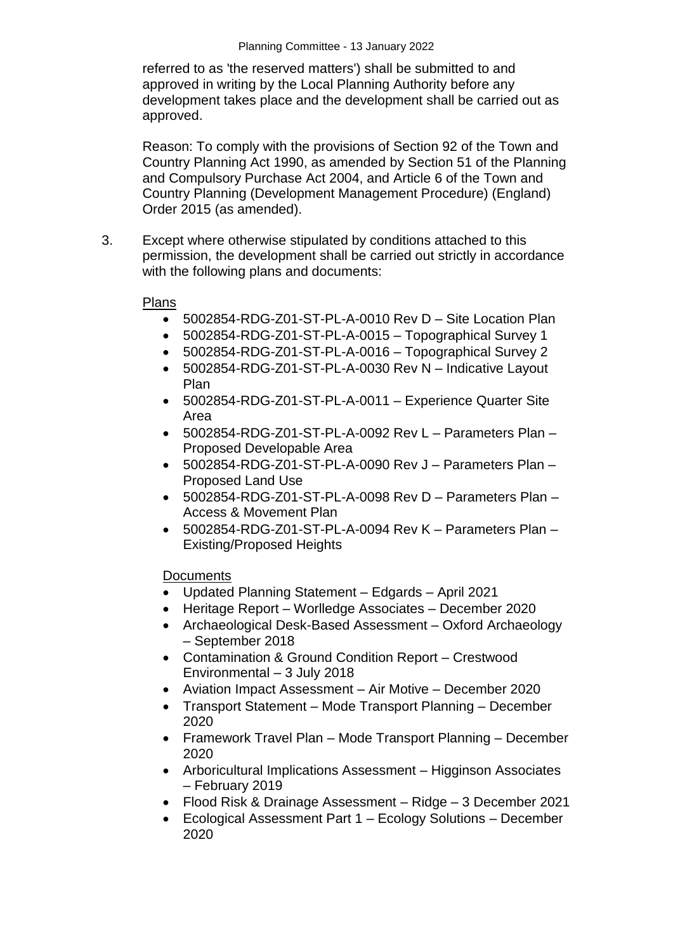referred to as 'the reserved matters') shall be submitted to and approved in writing by the Local Planning Authority before any development takes place and the development shall be carried out as approved.

Reason: To comply with the provisions of Section 92 of the Town and Country Planning Act 1990, as amended by Section 51 of the Planning and Compulsory Purchase Act 2004, and Article 6 of the Town and Country Planning (Development Management Procedure) (England) Order 2015 (as amended).

3. Except where otherwise stipulated by conditions attached to this permission, the development shall be carried out strictly in accordance with the following plans and documents:

### Plans

- 5002854-RDG-Z01-ST-PL-A-0010 Rev D Site Location Plan
- 5002854-RDG-Z01-ST-PL-A-0015 Topographical Survey 1
- 5002854-RDG-Z01-ST-PL-A-0016 Topographical Survey 2
- 5002854-RDG-Z01-ST-PL-A-0030 Rev N Indicative Layout Plan
- 5002854-RDG-Z01-ST-PL-A-0011 Experience Quarter Site Area
- 5002854-RDG-Z01-ST-PL-A-0092 Rev L Parameters Plan Proposed Developable Area
- 5002854-RDG-Z01-ST-PL-A-0090 Rev J Parameters Plan Proposed Land Use
- 5002854-RDG-Z01-ST-PL-A-0098 Rev D Parameters Plan Access & Movement Plan
- 5002854-RDG-Z01-ST-PL-A-0094 Rev K Parameters Plan Existing/Proposed Heights

### **Documents**

- Updated Planning Statement Edgards April 2021
- Heritage Report Worlledge Associates December 2020
- Archaeological Desk-Based Assessment Oxford Archaeology – September 2018
- Contamination & Ground Condition Report Crestwood Environmental – 3 July 2018
- Aviation Impact Assessment Air Motive December 2020
- Transport Statement Mode Transport Planning December 2020
- Framework Travel Plan Mode Transport Planning December 2020
- Arboricultural Implications Assessment Higginson Associates – February 2019
- Flood Risk & Drainage Assessment Ridge 3 December 2021
- Ecological Assessment Part 1 Ecology Solutions December 2020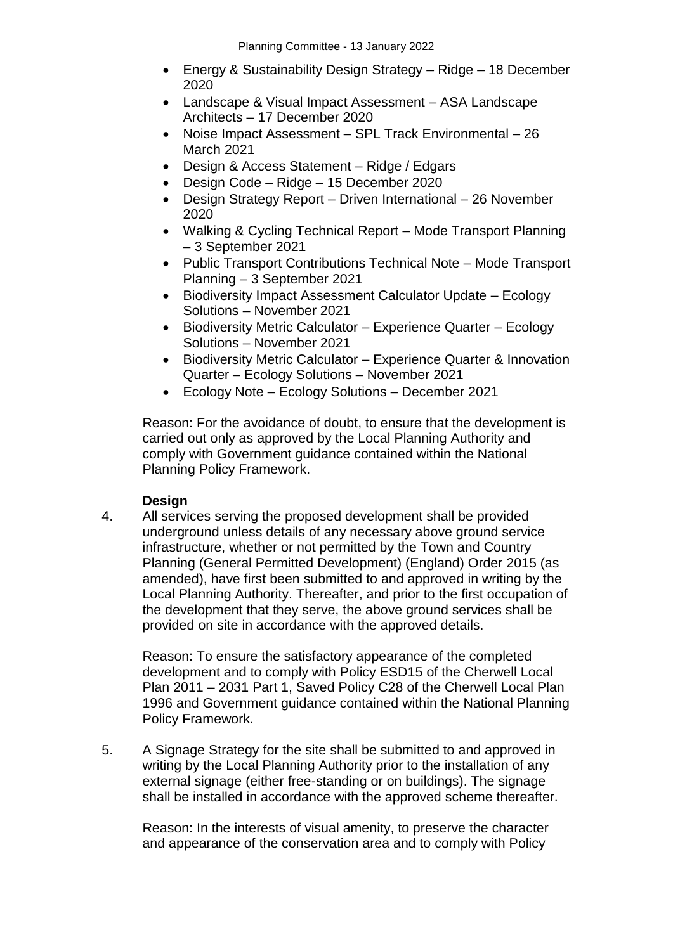- Energy & Sustainability Design Strategy Ridge 18 December 2020
- Landscape & Visual Impact Assessment ASA Landscape Architects – 17 December 2020
- Noise Impact Assessment SPL Track Environmental 26 March 2021
- Design & Access Statement Ridge / Edgars
- Design Code Ridge 15 December 2020
- Design Strategy Report Driven International 26 November 2020
- Walking & Cycling Technical Report Mode Transport Planning – 3 September 2021
- Public Transport Contributions Technical Note Mode Transport Planning – 3 September 2021
- Biodiversity Impact Assessment Calculator Update Ecology Solutions – November 2021
- Biodiversity Metric Calculator Experience Quarter Ecology Solutions – November 2021
- Biodiversity Metric Calculator Experience Quarter & Innovation Quarter – Ecology Solutions – November 2021
- Ecology Note Ecology Solutions December 2021

Reason: For the avoidance of doubt, to ensure that the development is carried out only as approved by the Local Planning Authority and comply with Government guidance contained within the National Planning Policy Framework.

### **Design**

4. All services serving the proposed development shall be provided underground unless details of any necessary above ground service infrastructure, whether or not permitted by the Town and Country Planning (General Permitted Development) (England) Order 2015 (as amended), have first been submitted to and approved in writing by the Local Planning Authority. Thereafter, and prior to the first occupation of the development that they serve, the above ground services shall be provided on site in accordance with the approved details.

Reason: To ensure the satisfactory appearance of the completed development and to comply with Policy ESD15 of the Cherwell Local Plan 2011 – 2031 Part 1, Saved Policy C28 of the Cherwell Local Plan 1996 and Government guidance contained within the National Planning Policy Framework.

5. A Signage Strategy for the site shall be submitted to and approved in writing by the Local Planning Authority prior to the installation of any external signage (either free-standing or on buildings). The signage shall be installed in accordance with the approved scheme thereafter.

Reason: In the interests of visual amenity, to preserve the character and appearance of the conservation area and to comply with Policy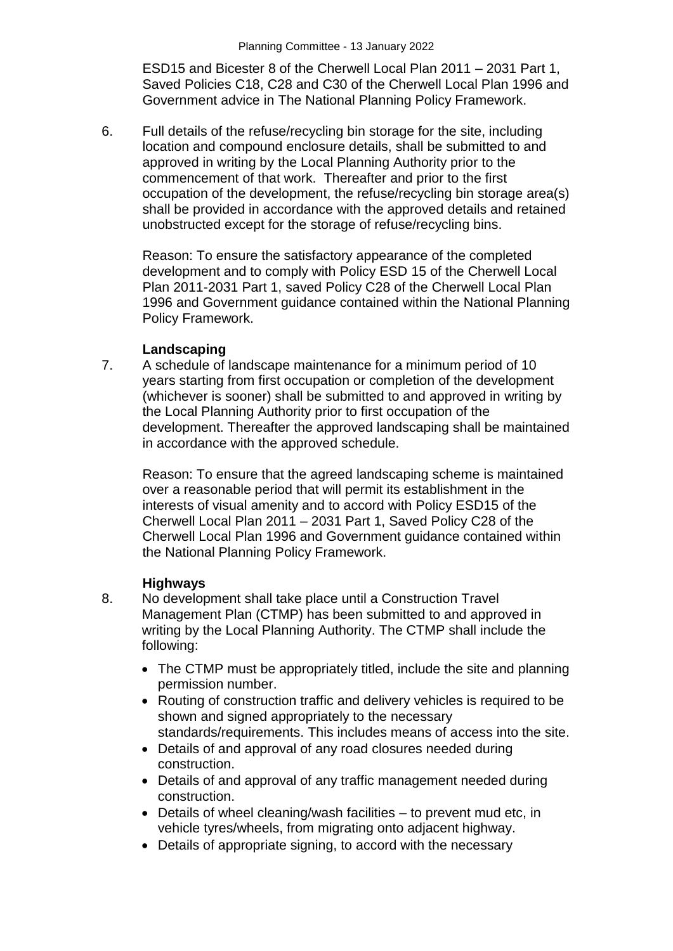ESD15 and Bicester 8 of the Cherwell Local Plan 2011 – 2031 Part 1, Saved Policies C18, C28 and C30 of the Cherwell Local Plan 1996 and Government advice in The National Planning Policy Framework.

6. Full details of the refuse/recycling bin storage for the site, including location and compound enclosure details, shall be submitted to and approved in writing by the Local Planning Authority prior to the commencement of that work. Thereafter and prior to the first occupation of the development, the refuse/recycling bin storage area(s) shall be provided in accordance with the approved details and retained unobstructed except for the storage of refuse/recycling bins.

Reason: To ensure the satisfactory appearance of the completed development and to comply with Policy ESD 15 of the Cherwell Local Plan 2011-2031 Part 1, saved Policy C28 of the Cherwell Local Plan 1996 and Government guidance contained within the National Planning Policy Framework.

### **Landscaping**

7. A schedule of landscape maintenance for a minimum period of 10 years starting from first occupation or completion of the development (whichever is sooner) shall be submitted to and approved in writing by the Local Planning Authority prior to first occupation of the development. Thereafter the approved landscaping shall be maintained in accordance with the approved schedule.

Reason: To ensure that the agreed landscaping scheme is maintained over a reasonable period that will permit its establishment in the interests of visual amenity and to accord with Policy ESD15 of the Cherwell Local Plan 2011 – 2031 Part 1, Saved Policy C28 of the Cherwell Local Plan 1996 and Government guidance contained within the National Planning Policy Framework.

### **Highways**

- 8. No development shall take place until a Construction Travel Management Plan (CTMP) has been submitted to and approved in writing by the Local Planning Authority. The CTMP shall include the following:
	- The CTMP must be appropriately titled, include the site and planning permission number.
	- Routing of construction traffic and delivery vehicles is required to be shown and signed appropriately to the necessary standards/requirements. This includes means of access into the site.
	- Details of and approval of any road closures needed during construction.
	- Details of and approval of any traffic management needed during construction.
	- Details of wheel cleaning/wash facilities to prevent mud etc, in vehicle tyres/wheels, from migrating onto adjacent highway.
	- Details of appropriate signing, to accord with the necessary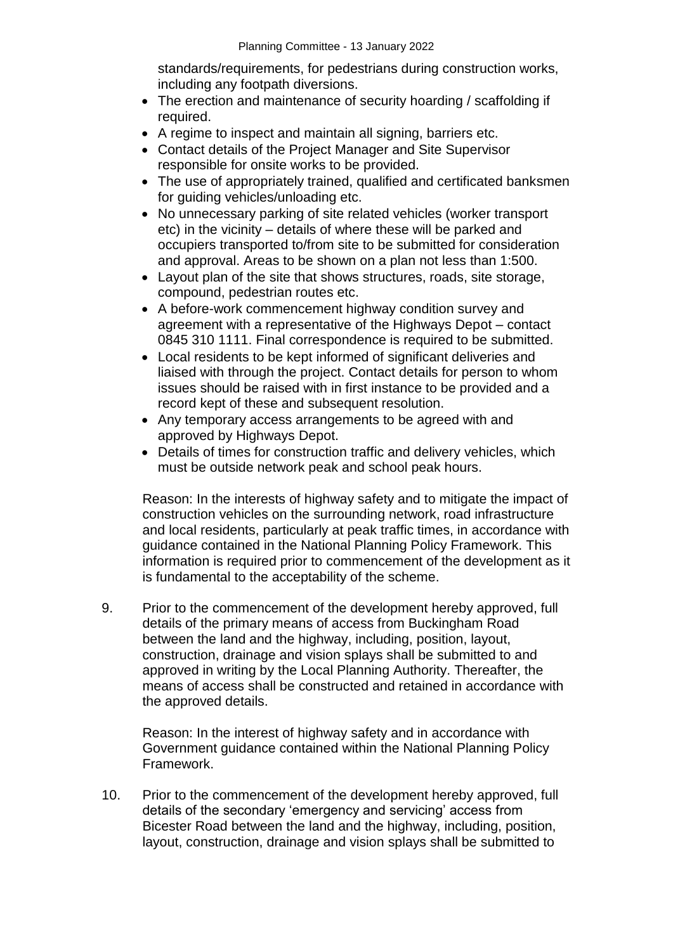standards/requirements, for pedestrians during construction works, including any footpath diversions.

- The erection and maintenance of security hoarding / scaffolding if required.
- A regime to inspect and maintain all signing, barriers etc.
- Contact details of the Project Manager and Site Supervisor responsible for onsite works to be provided.
- The use of appropriately trained, qualified and certificated banksmen for guiding vehicles/unloading etc.
- No unnecessary parking of site related vehicles (worker transport etc) in the vicinity – details of where these will be parked and occupiers transported to/from site to be submitted for consideration and approval. Areas to be shown on a plan not less than 1:500.
- Layout plan of the site that shows structures, roads, site storage, compound, pedestrian routes etc.
- A before-work commencement highway condition survey and agreement with a representative of the Highways Depot – contact 0845 310 1111. Final correspondence is required to be submitted.
- Local residents to be kept informed of significant deliveries and liaised with through the project. Contact details for person to whom issues should be raised with in first instance to be provided and a record kept of these and subsequent resolution.
- Any temporary access arrangements to be agreed with and approved by Highways Depot.
- Details of times for construction traffic and delivery vehicles, which must be outside network peak and school peak hours.

Reason: In the interests of highway safety and to mitigate the impact of construction vehicles on the surrounding network, road infrastructure and local residents, particularly at peak traffic times, in accordance with guidance contained in the National Planning Policy Framework. This information is required prior to commencement of the development as it is fundamental to the acceptability of the scheme.

9. Prior to the commencement of the development hereby approved, full details of the primary means of access from Buckingham Road between the land and the highway, including, position, layout, construction, drainage and vision splays shall be submitted to and approved in writing by the Local Planning Authority. Thereafter, the means of access shall be constructed and retained in accordance with the approved details.

Reason: In the interest of highway safety and in accordance with Government guidance contained within the National Planning Policy Framework.

10. Prior to the commencement of the development hereby approved, full details of the secondary 'emergency and servicing' access from Bicester Road between the land and the highway, including, position, layout, construction, drainage and vision splays shall be submitted to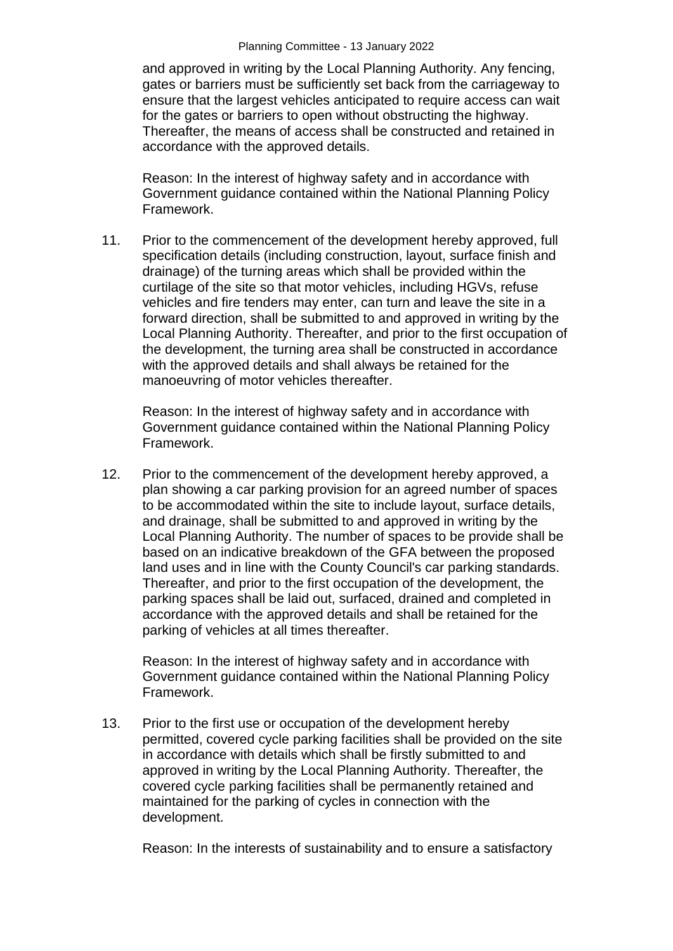and approved in writing by the Local Planning Authority. Any fencing, gates or barriers must be sufficiently set back from the carriageway to ensure that the largest vehicles anticipated to require access can wait for the gates or barriers to open without obstructing the highway. Thereafter, the means of access shall be constructed and retained in accordance with the approved details.

Reason: In the interest of highway safety and in accordance with Government guidance contained within the National Planning Policy Framework.

11. Prior to the commencement of the development hereby approved, full specification details (including construction, layout, surface finish and drainage) of the turning areas which shall be provided within the curtilage of the site so that motor vehicles, including HGVs, refuse vehicles and fire tenders may enter, can turn and leave the site in a forward direction, shall be submitted to and approved in writing by the Local Planning Authority. Thereafter, and prior to the first occupation of the development, the turning area shall be constructed in accordance with the approved details and shall always be retained for the manoeuvring of motor vehicles thereafter.

Reason: In the interest of highway safety and in accordance with Government guidance contained within the National Planning Policy Framework.

12. Prior to the commencement of the development hereby approved, a plan showing a car parking provision for an agreed number of spaces to be accommodated within the site to include layout, surface details, and drainage, shall be submitted to and approved in writing by the Local Planning Authority. The number of spaces to be provide shall be based on an indicative breakdown of the GFA between the proposed land uses and in line with the County Council's car parking standards. Thereafter, and prior to the first occupation of the development, the parking spaces shall be laid out, surfaced, drained and completed in accordance with the approved details and shall be retained for the parking of vehicles at all times thereafter.

Reason: In the interest of highway safety and in accordance with Government guidance contained within the National Planning Policy Framework.

13. Prior to the first use or occupation of the development hereby permitted, covered cycle parking facilities shall be provided on the site in accordance with details which shall be firstly submitted to and approved in writing by the Local Planning Authority. Thereafter, the covered cycle parking facilities shall be permanently retained and maintained for the parking of cycles in connection with the development.

Reason: In the interests of sustainability and to ensure a satisfactory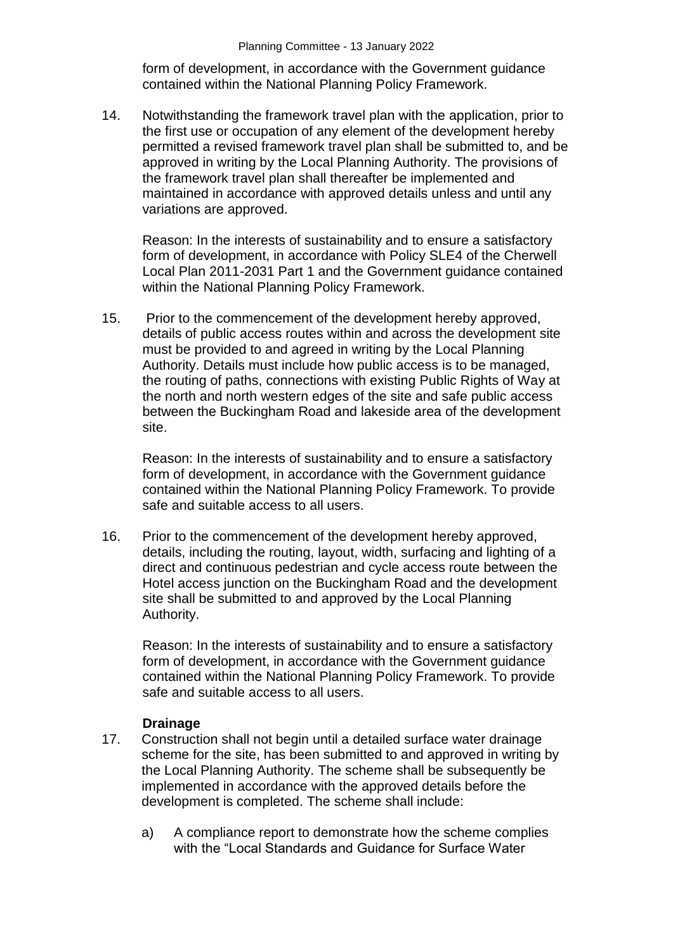form of development, in accordance with the Government guidance contained within the National Planning Policy Framework.

14. Notwithstanding the framework travel plan with the application, prior to the first use or occupation of any element of the development hereby permitted a revised framework travel plan shall be submitted to, and be approved in writing by the Local Planning Authority. The provisions of the framework travel plan shall thereafter be implemented and maintained in accordance with approved details unless and until any variations are approved.

Reason: In the interests of sustainability and to ensure a satisfactory form of development, in accordance with Policy SLE4 of the Cherwell Local Plan 2011-2031 Part 1 and the Government guidance contained within the National Planning Policy Framework.

15. Prior to the commencement of the development hereby approved, details of public access routes within and across the development site must be provided to and agreed in writing by the Local Planning Authority. Details must include how public access is to be managed, the routing of paths, connections with existing Public Rights of Way at the north and north western edges of the site and safe public access between the Buckingham Road and lakeside area of the development site.

Reason: In the interests of sustainability and to ensure a satisfactory form of development, in accordance with the Government guidance contained within the National Planning Policy Framework. To provide safe and suitable access to all users.

16. Prior to the commencement of the development hereby approved, details, including the routing, layout, width, surfacing and lighting of a direct and continuous pedestrian and cycle access route between the Hotel access junction on the Buckingham Road and the development site shall be submitted to and approved by the Local Planning Authority.

Reason: In the interests of sustainability and to ensure a satisfactory form of development, in accordance with the Government guidance contained within the National Planning Policy Framework. To provide safe and suitable access to all users.

### **Drainage**

- 17. Construction shall not begin until a detailed surface water drainage scheme for the site, has been submitted to and approved in writing by the Local Planning Authority. The scheme shall be subsequently be implemented in accordance with the approved details before the development is completed. The scheme shall include:
	- a) A compliance report to demonstrate how the scheme complies with the "Local Standards and Guidance for Surface Water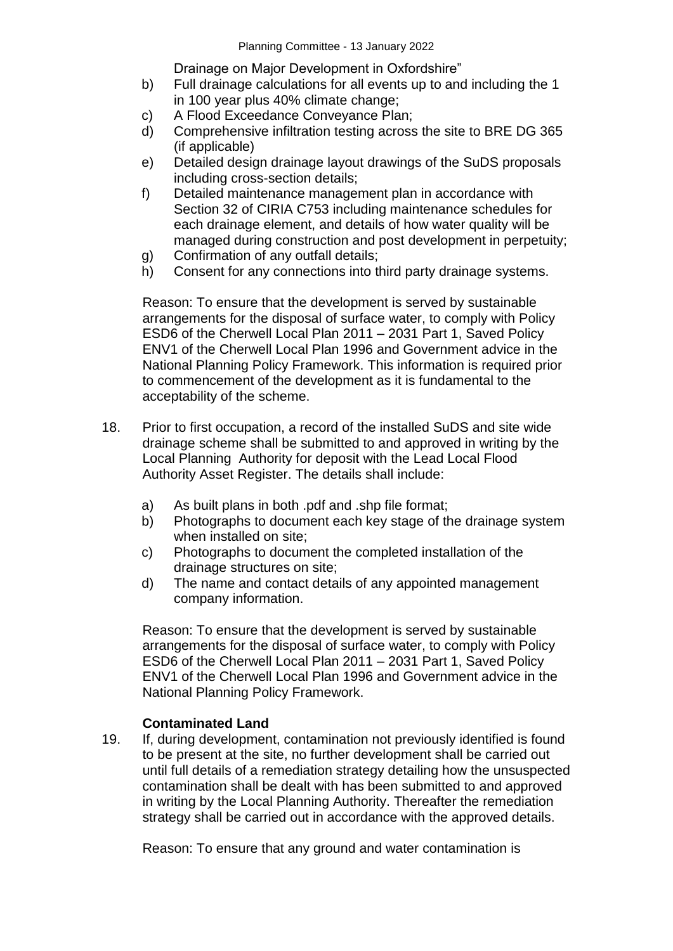Drainage on Major Development in Oxfordshire"

- b) Full drainage calculations for all events up to and including the 1 in 100 year plus 40% climate change;
- c) A Flood Exceedance Conveyance Plan;
- d) Comprehensive infiltration testing across the site to BRE DG 365 (if applicable)
- e) Detailed design drainage layout drawings of the SuDS proposals including cross-section details;
- f) Detailed maintenance management plan in accordance with Section 32 of CIRIA C753 including maintenance schedules for each drainage element, and details of how water quality will be managed during construction and post development in perpetuity;
- g) Confirmation of any outfall details;
- h) Consent for any connections into third party drainage systems.

Reason: To ensure that the development is served by sustainable arrangements for the disposal of surface water, to comply with Policy ESD6 of the Cherwell Local Plan 2011 – 2031 Part 1, Saved Policy ENV1 of the Cherwell Local Plan 1996 and Government advice in the National Planning Policy Framework. This information is required prior to commencement of the development as it is fundamental to the acceptability of the scheme.

- 18. Prior to first occupation, a record of the installed SuDS and site wide drainage scheme shall be submitted to and approved in writing by the Local Planning Authority for deposit with the Lead Local Flood Authority Asset Register. The details shall include:
	- a) As built plans in both .pdf and .shp file format;
	- b) Photographs to document each key stage of the drainage system when installed on site;
	- c) Photographs to document the completed installation of the drainage structures on site;
	- d) The name and contact details of any appointed management company information.

Reason: To ensure that the development is served by sustainable arrangements for the disposal of surface water, to comply with Policy ESD6 of the Cherwell Local Plan 2011 – 2031 Part 1, Saved Policy ENV1 of the Cherwell Local Plan 1996 and Government advice in the National Planning Policy Framework.

### **Contaminated Land**

19. If, during development, contamination not previously identified is found to be present at the site, no further development shall be carried out until full details of a remediation strategy detailing how the unsuspected contamination shall be dealt with has been submitted to and approved in writing by the Local Planning Authority. Thereafter the remediation strategy shall be carried out in accordance with the approved details.

Reason: To ensure that any ground and water contamination is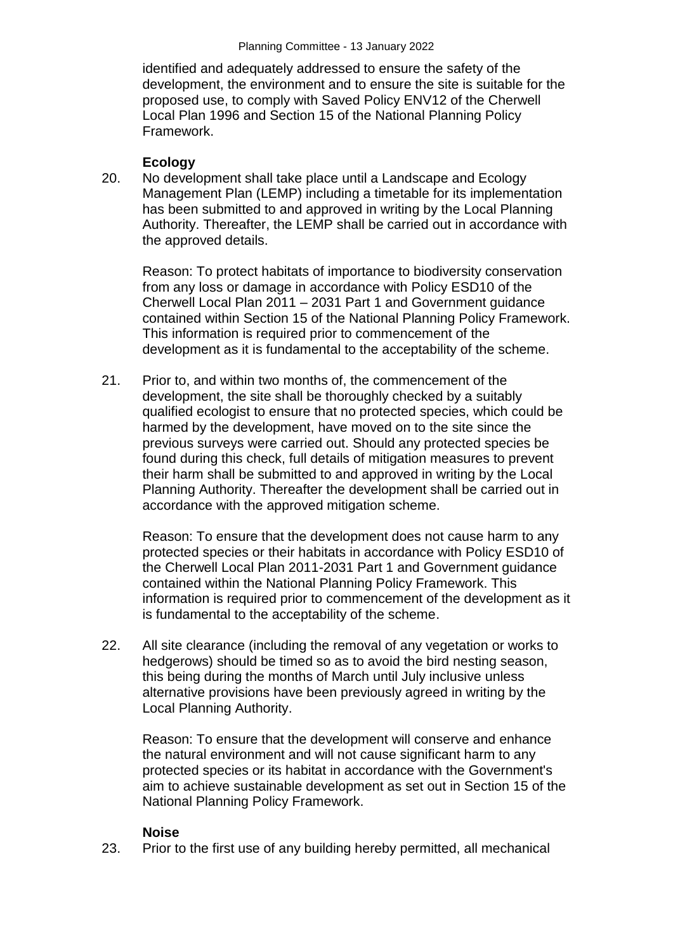identified and adequately addressed to ensure the safety of the development, the environment and to ensure the site is suitable for the proposed use, to comply with Saved Policy ENV12 of the Cherwell Local Plan 1996 and Section 15 of the National Planning Policy Framework.

## **Ecology**

20. No development shall take place until a Landscape and Ecology Management Plan (LEMP) including a timetable for its implementation has been submitted to and approved in writing by the Local Planning Authority. Thereafter, the LEMP shall be carried out in accordance with the approved details.

Reason: To protect habitats of importance to biodiversity conservation from any loss or damage in accordance with Policy ESD10 of the Cherwell Local Plan 2011 – 2031 Part 1 and Government guidance contained within Section 15 of the National Planning Policy Framework. This information is required prior to commencement of the development as it is fundamental to the acceptability of the scheme.

21. Prior to, and within two months of, the commencement of the development, the site shall be thoroughly checked by a suitably qualified ecologist to ensure that no protected species, which could be harmed by the development, have moved on to the site since the previous surveys were carried out. Should any protected species be found during this check, full details of mitigation measures to prevent their harm shall be submitted to and approved in writing by the Local Planning Authority. Thereafter the development shall be carried out in accordance with the approved mitigation scheme.

Reason: To ensure that the development does not cause harm to any protected species or their habitats in accordance with Policy ESD10 of the Cherwell Local Plan 2011-2031 Part 1 and Government guidance contained within the National Planning Policy Framework. This information is required prior to commencement of the development as it is fundamental to the acceptability of the scheme.

22. All site clearance (including the removal of any vegetation or works to hedgerows) should be timed so as to avoid the bird nesting season, this being during the months of March until July inclusive unless alternative provisions have been previously agreed in writing by the Local Planning Authority.

Reason: To ensure that the development will conserve and enhance the natural environment and will not cause significant harm to any protected species or its habitat in accordance with the Government's aim to achieve sustainable development as set out in Section 15 of the National Planning Policy Framework.

### **Noise**

23. Prior to the first use of any building hereby permitted, all mechanical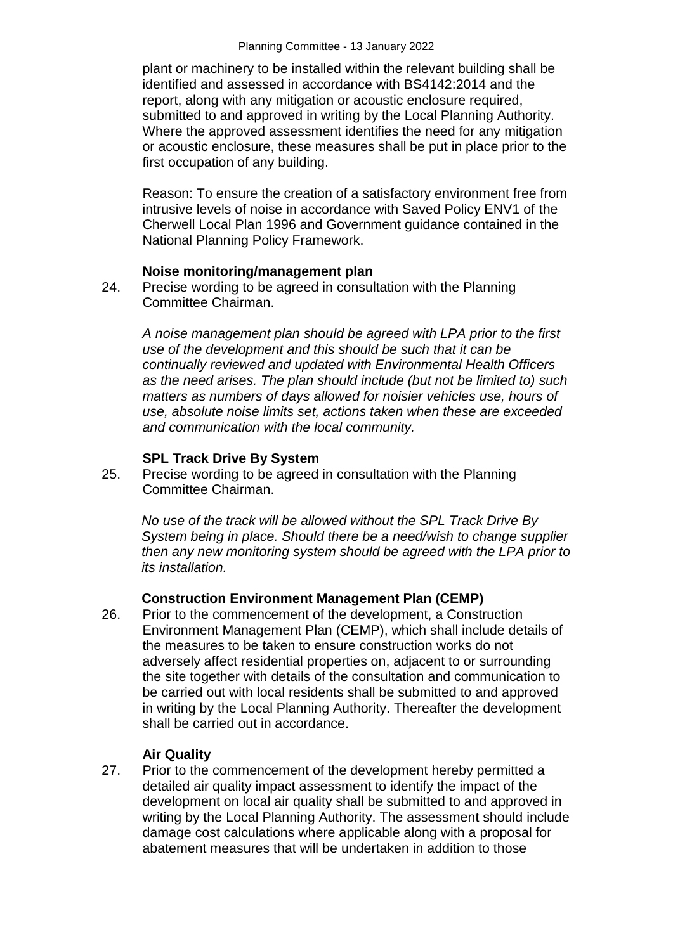plant or machinery to be installed within the relevant building shall be identified and assessed in accordance with BS4142:2014 and the report, along with any mitigation or acoustic enclosure required, submitted to and approved in writing by the Local Planning Authority. Where the approved assessment identifies the need for any mitigation or acoustic enclosure, these measures shall be put in place prior to the first occupation of any building.

Reason: To ensure the creation of a satisfactory environment free from intrusive levels of noise in accordance with Saved Policy ENV1 of the Cherwell Local Plan 1996 and Government guidance contained in the National Planning Policy Framework.

#### **Noise monitoring/management plan**

24. Precise wording to be agreed in consultation with the Planning Committee Chairman.

*A noise management plan should be agreed with LPA prior to the first use of the development and this should be such that it can be continually reviewed and updated with Environmental Health Officers as the need arises. The plan should include (but not be limited to) such matters as numbers of days allowed for noisier vehicles use, hours of use, absolute noise limits set, actions taken when these are exceeded and communication with the local community.* 

### **SPL Track Drive By System**

25. Precise wording to be agreed in consultation with the Planning Committee Chairman.

*No use of the track will be allowed without the SPL Track Drive By System being in place. Should there be a need/wish to change supplier then any new monitoring system should be agreed with the LPA prior to its installation.*

### **Construction Environment Management Plan (CEMP)**

26. Prior to the commencement of the development, a Construction Environment Management Plan (CEMP), which shall include details of the measures to be taken to ensure construction works do not adversely affect residential properties on, adjacent to or surrounding the site together with details of the consultation and communication to be carried out with local residents shall be submitted to and approved in writing by the Local Planning Authority. Thereafter the development shall be carried out in accordance.

### **Air Quality**

27. Prior to the commencement of the development hereby permitted a detailed air quality impact assessment to identify the impact of the development on local air quality shall be submitted to and approved in writing by the Local Planning Authority. The assessment should include damage cost calculations where applicable along with a proposal for abatement measures that will be undertaken in addition to those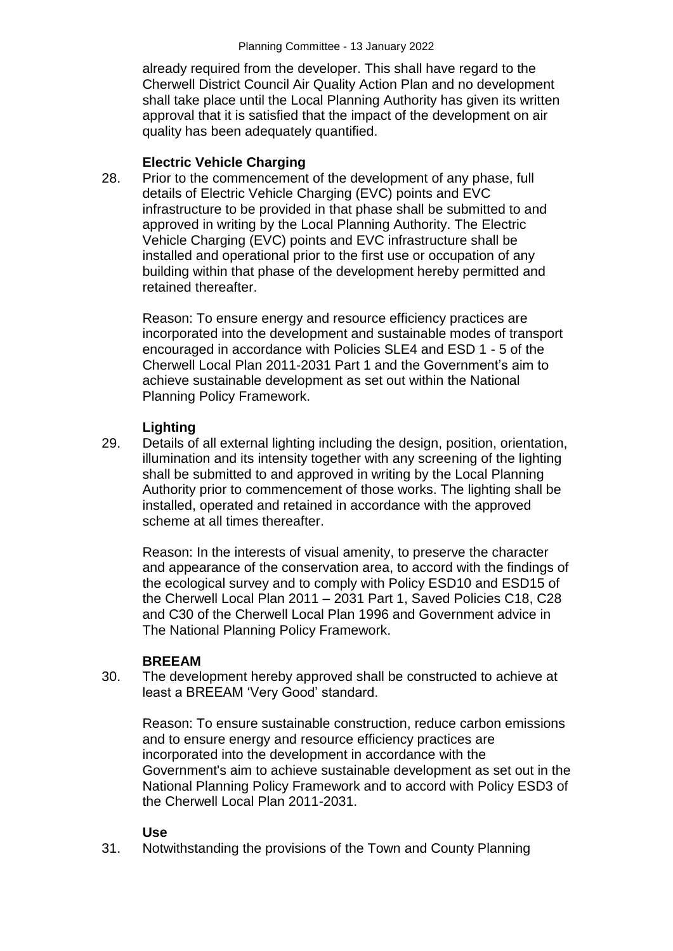already required from the developer. This shall have regard to the Cherwell District Council Air Quality Action Plan and no development shall take place until the Local Planning Authority has given its written approval that it is satisfied that the impact of the development on air quality has been adequately quantified.

## **Electric Vehicle Charging**

28. Prior to the commencement of the development of any phase, full details of Electric Vehicle Charging (EVC) points and EVC infrastructure to be provided in that phase shall be submitted to and approved in writing by the Local Planning Authority. The Electric Vehicle Charging (EVC) points and EVC infrastructure shall be installed and operational prior to the first use or occupation of any building within that phase of the development hereby permitted and retained thereafter.

Reason: To ensure energy and resource efficiency practices are incorporated into the development and sustainable modes of transport encouraged in accordance with Policies SLE4 and ESD 1 - 5 of the Cherwell Local Plan 2011-2031 Part 1 and the Government's aim to achieve sustainable development as set out within the National Planning Policy Framework.

## **Lighting**

29. Details of all external lighting including the design, position, orientation, illumination and its intensity together with any screening of the lighting shall be submitted to and approved in writing by the Local Planning Authority prior to commencement of those works. The lighting shall be installed, operated and retained in accordance with the approved scheme at all times thereafter.

Reason: In the interests of visual amenity, to preserve the character and appearance of the conservation area, to accord with the findings of the ecological survey and to comply with Policy ESD10 and ESD15 of the Cherwell Local Plan 2011 – 2031 Part 1, Saved Policies C18, C28 and C30 of the Cherwell Local Plan 1996 and Government advice in The National Planning Policy Framework.

### **BREEAM**

30. The development hereby approved shall be constructed to achieve at least a BREEAM 'Very Good' standard.

Reason: To ensure sustainable construction, reduce carbon emissions and to ensure energy and resource efficiency practices are incorporated into the development in accordance with the Government's aim to achieve sustainable development as set out in the National Planning Policy Framework and to accord with Policy ESD3 of the Cherwell Local Plan 2011-2031.

### **Use**

31. Notwithstanding the provisions of the Town and County Planning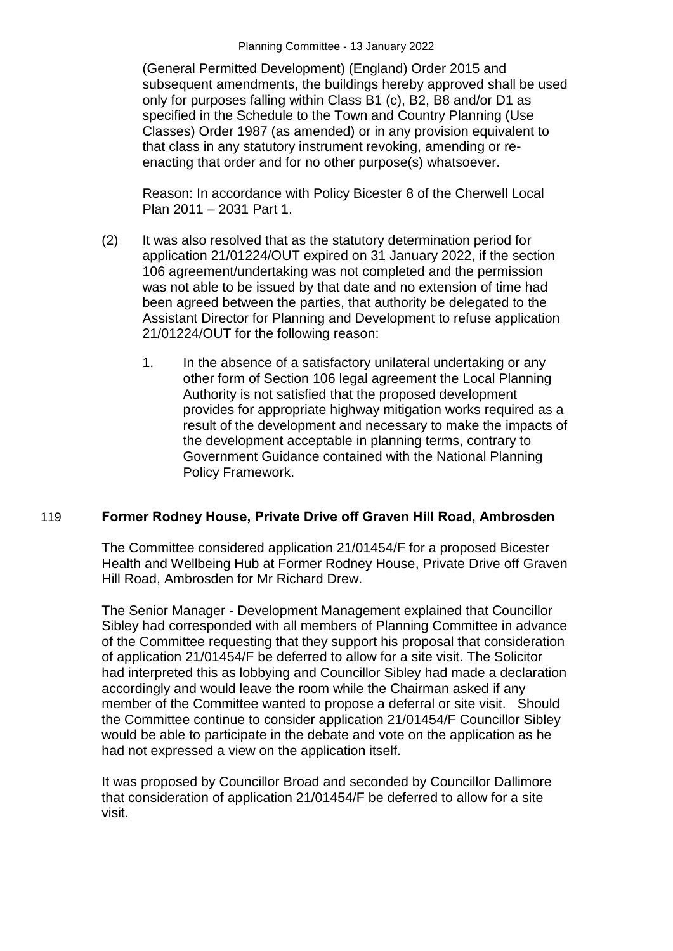(General Permitted Development) (England) Order 2015 and subsequent amendments, the buildings hereby approved shall be used only for purposes falling within Class B1 (c), B2, B8 and/or D1 as specified in the Schedule to the Town and Country Planning (Use Classes) Order 1987 (as amended) or in any provision equivalent to that class in any statutory instrument revoking, amending or reenacting that order and for no other purpose(s) whatsoever.

Reason: In accordance with Policy Bicester 8 of the Cherwell Local Plan 2011 – 2031 Part 1.

- (2) It was also resolved that as the statutory determination period for application 21/01224/OUT expired on 31 January 2022, if the section 106 agreement/undertaking was not completed and the permission was not able to be issued by that date and no extension of time had been agreed between the parties, that authority be delegated to the Assistant Director for Planning and Development to refuse application 21/01224/OUT for the following reason:
	- 1. In the absence of a satisfactory unilateral undertaking or any other form of Section 106 legal agreement the Local Planning Authority is not satisfied that the proposed development provides for appropriate highway mitigation works required as a result of the development and necessary to make the impacts of the development acceptable in planning terms, contrary to Government Guidance contained with the National Planning Policy Framework.

### 119 **Former Rodney House, Private Drive off Graven Hill Road, Ambrosden**

The Committee considered application 21/01454/F for a proposed Bicester Health and Wellbeing Hub at Former Rodney House, Private Drive off Graven Hill Road, Ambrosden for Mr Richard Drew.

The Senior Manager - Development Management explained that Councillor Sibley had corresponded with all members of Planning Committee in advance of the Committee requesting that they support his proposal that consideration of application 21/01454/F be deferred to allow for a site visit. The Solicitor had interpreted this as lobbying and Councillor Sibley had made a declaration accordingly and would leave the room while the Chairman asked if any member of the Committee wanted to propose a deferral or site visit. Should the Committee continue to consider application 21/01454/F Councillor Sibley would be able to participate in the debate and vote on the application as he had not expressed a view on the application itself.

It was proposed by Councillor Broad and seconded by Councillor Dallimore that consideration of application 21/01454/F be deferred to allow for a site visit.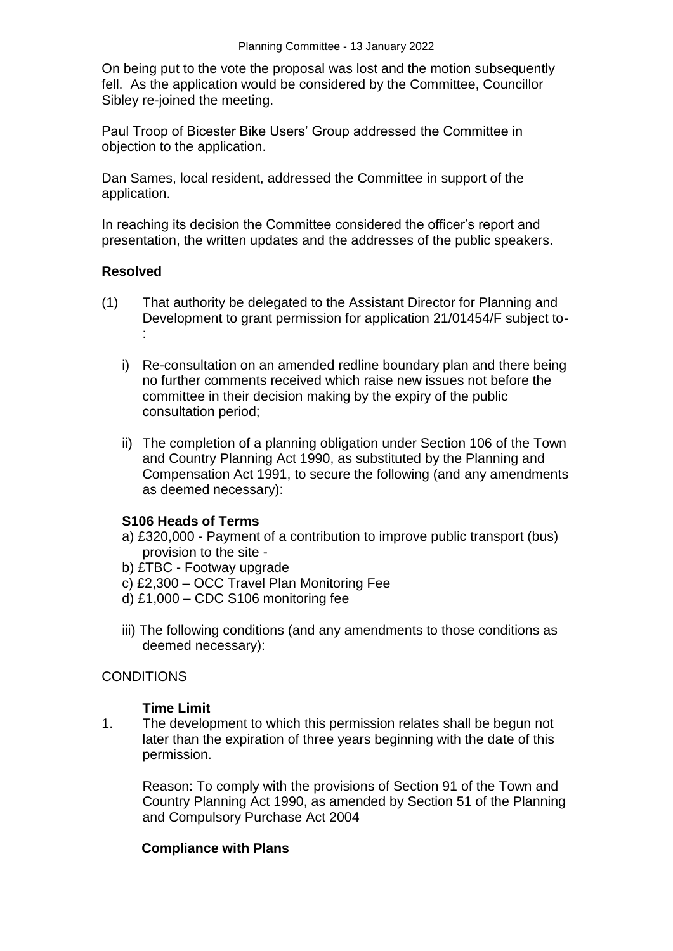On being put to the vote the proposal was lost and the motion subsequently fell. As the application would be considered by the Committee, Councillor Sibley re-joined the meeting.

Paul Troop of Bicester Bike Users' Group addressed the Committee in objection to the application.

Dan Sames, local resident, addressed the Committee in support of the application.

In reaching its decision the Committee considered the officer's report and presentation, the written updates and the addresses of the public speakers.

### **Resolved**

- (1) That authority be delegated to the Assistant Director for Planning and Development to grant permission for application 21/01454/F subject to- :
	- i) Re-consultation on an amended redline boundary plan and there being no further comments received which raise new issues not before the committee in their decision making by the expiry of the public consultation period;
	- ii) The completion of a planning obligation under Section 106 of the Town and Country Planning Act 1990, as substituted by the Planning and Compensation Act 1991, to secure the following (and any amendments as deemed necessary):

### **S106 Heads of Terms**

- a) £320,000 Payment of a contribution to improve public transport (bus) provision to the site -
- b) £TBC Footway upgrade
- c) £2,300 OCC Travel Plan Monitoring Fee
- d) £1,000 CDC S106 monitoring fee
- iii) The following conditions (and any amendments to those conditions as deemed necessary):

### **CONDITIONS**

### **Time Limit**

1. The development to which this permission relates shall be begun not later than the expiration of three years beginning with the date of this permission.

Reason: To comply with the provisions of Section 91 of the Town and Country Planning Act 1990, as amended by Section 51 of the Planning and Compulsory Purchase Act 2004

### **Compliance with Plans**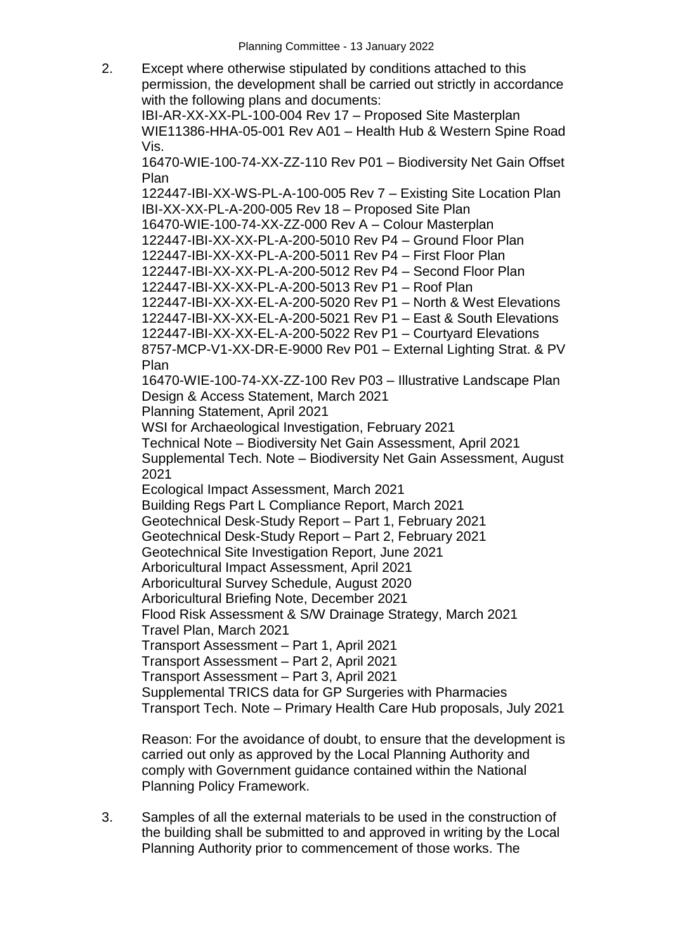2. Except where otherwise stipulated by conditions attached to this permission, the development shall be carried out strictly in accordance with the following plans and documents:

IBI-AR-XX-XX-PL-100-004 Rev 17 – Proposed Site Masterplan WIE11386-HHA-05-001 Rev A01 – Health Hub & Western Spine Road Vis.

16470-WIE-100-74-XX-ZZ-110 Rev P01 – Biodiversity Net Gain Offset Plan

122447-IBI-XX-WS-PL-A-100-005 Rev 7 – Existing Site Location Plan IBI-XX-XX-PL-A-200-005 Rev 18 – Proposed Site Plan 16470-WIE-100-74-XX-ZZ-000 Rev A – Colour Masterplan 122447-IBI-XX-XX-PL-A-200-5010 Rev P4 – Ground Floor Plan 122447-IBI-XX-XX-PL-A-200-5011 Rev P4 – First Floor Plan 122447-IBI-XX-XX-PL-A-200-5012 Rev P4 – Second Floor Plan 122447-IBI-XX-XX-PL-A-200-5013 Rev P1 – Roof Plan 122447-IBI-XX-XX-EL-A-200-5020 Rev P1 – North & West Elevations 122447-IBI-XX-XX-EL-A-200-5021 Rev P1 – East & South Elevations 122447-IBI-XX-XX-EL-A-200-5022 Rev P1 – Courtyard Elevations 8757-MCP-V1-XX-DR-E-9000 Rev P01 – External Lighting Strat. & PV

Plan

16470-WIE-100-74-XX-ZZ-100 Rev P03 – Illustrative Landscape Plan Design & Access Statement, March 2021

Planning Statement, April 2021

WSI for Archaeological Investigation, February 2021

Technical Note – Biodiversity Net Gain Assessment, April 2021 Supplemental Tech. Note – Biodiversity Net Gain Assessment, August 2021

Ecological Impact Assessment, March 2021

Building Regs Part L Compliance Report, March 2021

Geotechnical Desk-Study Report – Part 1, February 2021

Geotechnical Desk-Study Report – Part 2, February 2021

Geotechnical Site Investigation Report, June 2021

Arboricultural Impact Assessment, April 2021

Arboricultural Survey Schedule, August 2020

Arboricultural Briefing Note, December 2021

Flood Risk Assessment & S/W Drainage Strategy, March 2021

Travel Plan, March 2021

Transport Assessment – Part 1, April 2021

Transport Assessment – Part 2, April 2021

Transport Assessment – Part 3, April 2021

Supplemental TRICS data for GP Surgeries with Pharmacies

Transport Tech. Note – Primary Health Care Hub proposals, July 2021

Reason: For the avoidance of doubt, to ensure that the development is carried out only as approved by the Local Planning Authority and comply with Government guidance contained within the National Planning Policy Framework.

3. Samples of all the external materials to be used in the construction of the building shall be submitted to and approved in writing by the Local Planning Authority prior to commencement of those works. The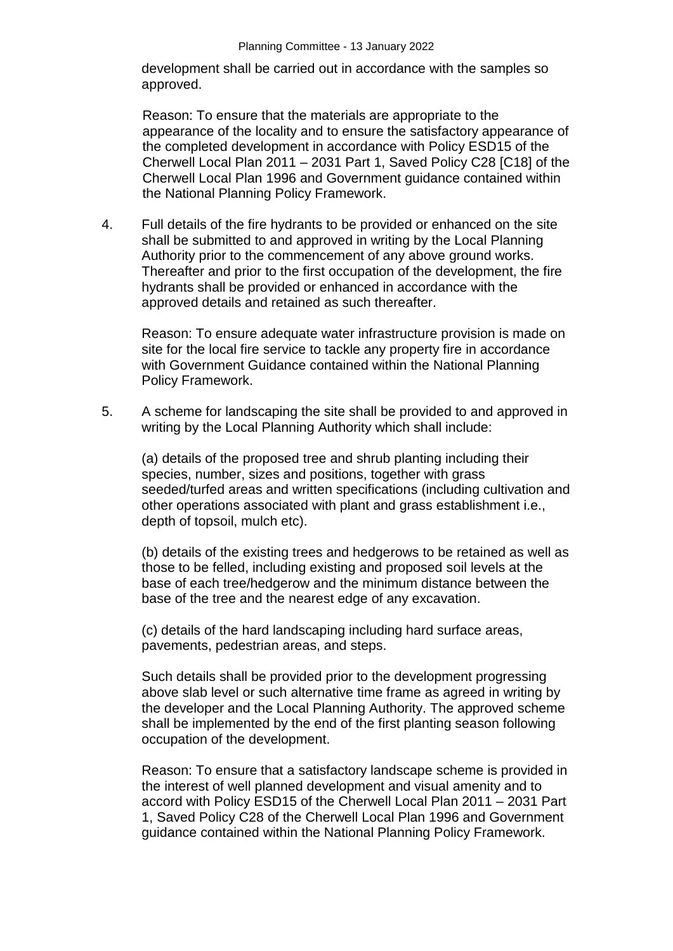development shall be carried out in accordance with the samples so approved.

Reason: To ensure that the materials are appropriate to the appearance of the locality and to ensure the satisfactory appearance of the completed development in accordance with Policy ESD15 of the Cherwell Local Plan 2011 – 2031 Part 1, Saved Policy C28 [C18] of the Cherwell Local Plan 1996 and Government guidance contained within the National Planning Policy Framework.

4. Full details of the fire hydrants to be provided or enhanced on the site shall be submitted to and approved in writing by the Local Planning Authority prior to the commencement of any above ground works. Thereafter and prior to the first occupation of the development, the fire hydrants shall be provided or enhanced in accordance with the approved details and retained as such thereafter.

Reason: To ensure adequate water infrastructure provision is made on site for the local fire service to tackle any property fire in accordance with Government Guidance contained within the National Planning Policy Framework.

5. A scheme for landscaping the site shall be provided to and approved in writing by the Local Planning Authority which shall include:

(a) details of the proposed tree and shrub planting including their species, number, sizes and positions, together with grass seeded/turfed areas and written specifications (including cultivation and other operations associated with plant and grass establishment i.e., depth of topsoil, mulch etc).

(b) details of the existing trees and hedgerows to be retained as well as those to be felled, including existing and proposed soil levels at the base of each tree/hedgerow and the minimum distance between the base of the tree and the nearest edge of any excavation.

(c) details of the hard landscaping including hard surface areas, pavements, pedestrian areas, and steps.

Such details shall be provided prior to the development progressing above slab level or such alternative time frame as agreed in writing by the developer and the Local Planning Authority. The approved scheme shall be implemented by the end of the first planting season following occupation of the development.

Reason: To ensure that a satisfactory landscape scheme is provided in the interest of well planned development and visual amenity and to accord with Policy ESD15 of the Cherwell Local Plan 2011 – 2031 Part 1, Saved Policy C28 of the Cherwell Local Plan 1996 and Government guidance contained within the National Planning Policy Framework.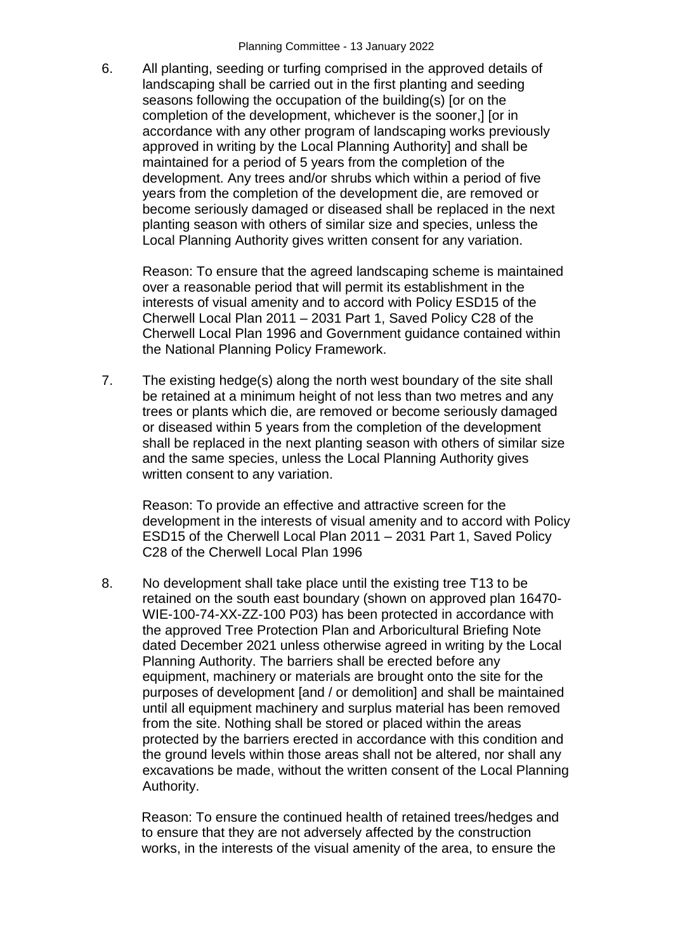6. All planting, seeding or turfing comprised in the approved details of landscaping shall be carried out in the first planting and seeding seasons following the occupation of the building(s) [or on the completion of the development, whichever is the sooner,] [or in accordance with any other program of landscaping works previously approved in writing by the Local Planning Authority] and shall be maintained for a period of 5 years from the completion of the development. Any trees and/or shrubs which within a period of five years from the completion of the development die, are removed or become seriously damaged or diseased shall be replaced in the next planting season with others of similar size and species, unless the Local Planning Authority gives written consent for any variation.

Reason: To ensure that the agreed landscaping scheme is maintained over a reasonable period that will permit its establishment in the interests of visual amenity and to accord with Policy ESD15 of the Cherwell Local Plan 2011 – 2031 Part 1, Saved Policy C28 of the Cherwell Local Plan 1996 and Government guidance contained within the National Planning Policy Framework.

7. The existing hedge(s) along the north west boundary of the site shall be retained at a minimum height of not less than two metres and any trees or plants which die, are removed or become seriously damaged or diseased within 5 years from the completion of the development shall be replaced in the next planting season with others of similar size and the same species, unless the Local Planning Authority gives written consent to any variation.

Reason: To provide an effective and attractive screen for the development in the interests of visual amenity and to accord with Policy ESD15 of the Cherwell Local Plan 2011 – 2031 Part 1, Saved Policy C28 of the Cherwell Local Plan 1996

8. No development shall take place until the existing tree T13 to be retained on the south east boundary (shown on approved plan 16470- WIE-100-74-XX-ZZ-100 P03) has been protected in accordance with the approved Tree Protection Plan and Arboricultural Briefing Note dated December 2021 unless otherwise agreed in writing by the Local Planning Authority. The barriers shall be erected before any equipment, machinery or materials are brought onto the site for the purposes of development [and / or demolition] and shall be maintained until all equipment machinery and surplus material has been removed from the site. Nothing shall be stored or placed within the areas protected by the barriers erected in accordance with this condition and the ground levels within those areas shall not be altered, nor shall any excavations be made, without the written consent of the Local Planning Authority.

Reason: To ensure the continued health of retained trees/hedges and to ensure that they are not adversely affected by the construction works, in the interests of the visual amenity of the area, to ensure the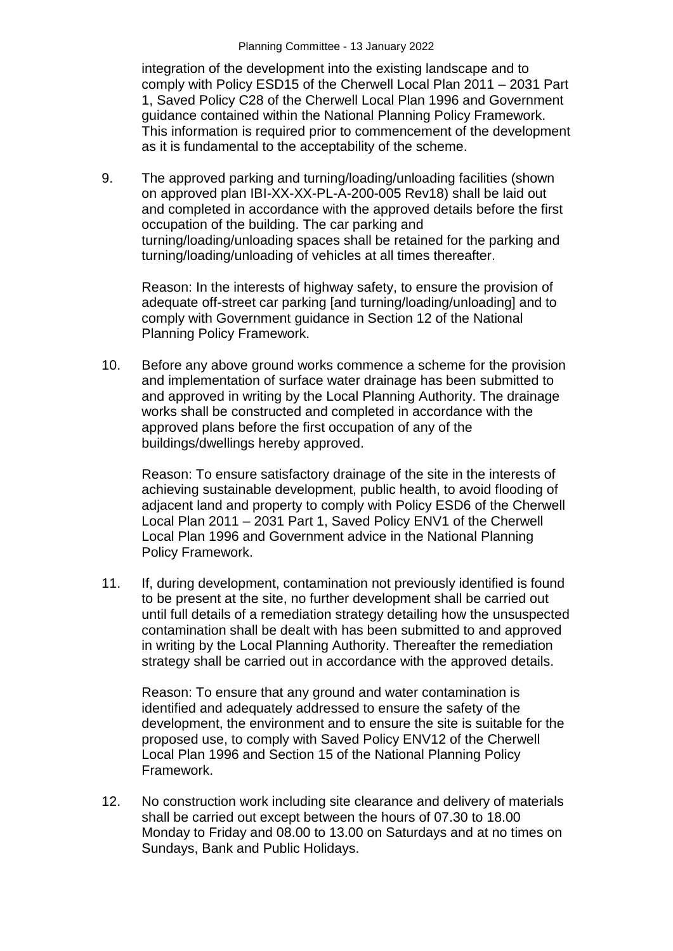integration of the development into the existing landscape and to comply with Policy ESD15 of the Cherwell Local Plan 2011 – 2031 Part 1, Saved Policy C28 of the Cherwell Local Plan 1996 and Government guidance contained within the National Planning Policy Framework. This information is required prior to commencement of the development as it is fundamental to the acceptability of the scheme.

9. The approved parking and turning/loading/unloading facilities (shown on approved plan IBI-XX-XX-PL-A-200-005 Rev18) shall be laid out and completed in accordance with the approved details before the first occupation of the building. The car parking and turning/loading/unloading spaces shall be retained for the parking and turning/loading/unloading of vehicles at all times thereafter.

Reason: In the interests of highway safety, to ensure the provision of adequate off-street car parking [and turning/loading/unloading] and to comply with Government guidance in Section 12 of the National Planning Policy Framework.

10. Before any above ground works commence a scheme for the provision and implementation of surface water drainage has been submitted to and approved in writing by the Local Planning Authority. The drainage works shall be constructed and completed in accordance with the approved plans before the first occupation of any of the buildings/dwellings hereby approved.

Reason: To ensure satisfactory drainage of the site in the interests of achieving sustainable development, public health, to avoid flooding of adjacent land and property to comply with Policy ESD6 of the Cherwell Local Plan 2011 – 2031 Part 1, Saved Policy ENV1 of the Cherwell Local Plan 1996 and Government advice in the National Planning Policy Framework.

11. If, during development, contamination not previously identified is found to be present at the site, no further development shall be carried out until full details of a remediation strategy detailing how the unsuspected contamination shall be dealt with has been submitted to and approved in writing by the Local Planning Authority. Thereafter the remediation strategy shall be carried out in accordance with the approved details.

Reason: To ensure that any ground and water contamination is identified and adequately addressed to ensure the safety of the development, the environment and to ensure the site is suitable for the proposed use, to comply with Saved Policy ENV12 of the Cherwell Local Plan 1996 and Section 15 of the National Planning Policy Framework.

12. No construction work including site clearance and delivery of materials shall be carried out except between the hours of 07.30 to 18.00 Monday to Friday and 08.00 to 13.00 on Saturdays and at no times on Sundays, Bank and Public Holidays.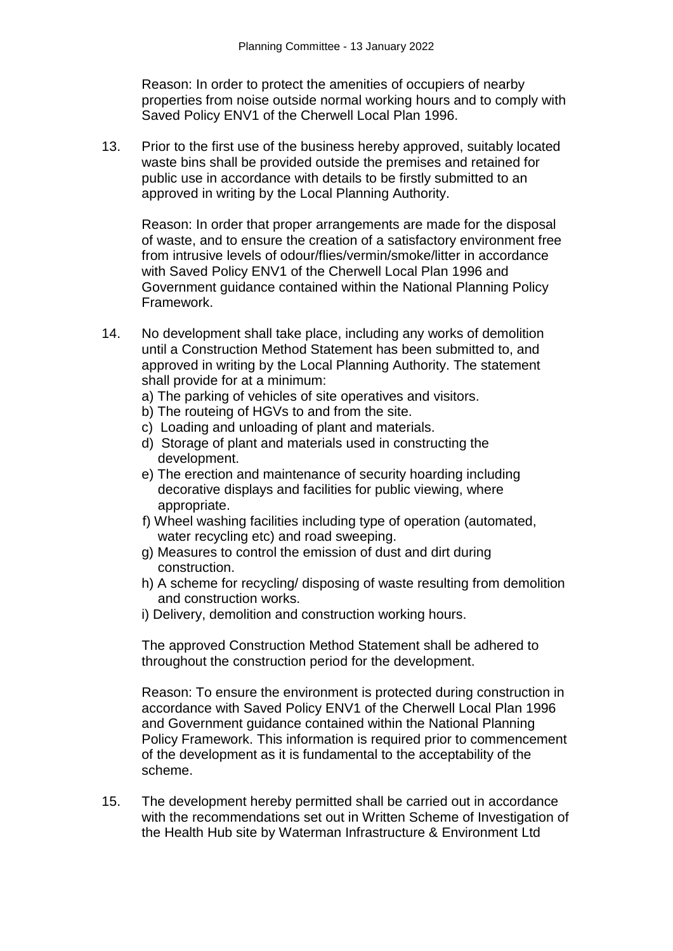Reason: In order to protect the amenities of occupiers of nearby properties from noise outside normal working hours and to comply with Saved Policy ENV1 of the Cherwell Local Plan 1996.

13. Prior to the first use of the business hereby approved, suitably located waste bins shall be provided outside the premises and retained for public use in accordance with details to be firstly submitted to an approved in writing by the Local Planning Authority.

Reason: In order that proper arrangements are made for the disposal of waste, and to ensure the creation of a satisfactory environment free from intrusive levels of odour/flies/vermin/smoke/litter in accordance with Saved Policy ENV1 of the Cherwell Local Plan 1996 and Government guidance contained within the National Planning Policy Framework.

- 14. No development shall take place, including any works of demolition until a Construction Method Statement has been submitted to, and approved in writing by the Local Planning Authority. The statement shall provide for at a minimum:
	- a) The parking of vehicles of site operatives and visitors.
	- b) The routeing of HGVs to and from the site.
	- c) Loading and unloading of plant and materials.
	- d) Storage of plant and materials used in constructing the development.
	- e) The erection and maintenance of security hoarding including decorative displays and facilities for public viewing, where appropriate.
	- f) Wheel washing facilities including type of operation (automated, water recycling etc) and road sweeping.
	- g) Measures to control the emission of dust and dirt during construction.
	- h) A scheme for recycling/ disposing of waste resulting from demolition and construction works.
	- i) Delivery, demolition and construction working hours.

The approved Construction Method Statement shall be adhered to throughout the construction period for the development.

Reason: To ensure the environment is protected during construction in accordance with Saved Policy ENV1 of the Cherwell Local Plan 1996 and Government guidance contained within the National Planning Policy Framework. This information is required prior to commencement of the development as it is fundamental to the acceptability of the scheme.

15. The development hereby permitted shall be carried out in accordance with the recommendations set out in Written Scheme of Investigation of the Health Hub site by Waterman Infrastructure & Environment Ltd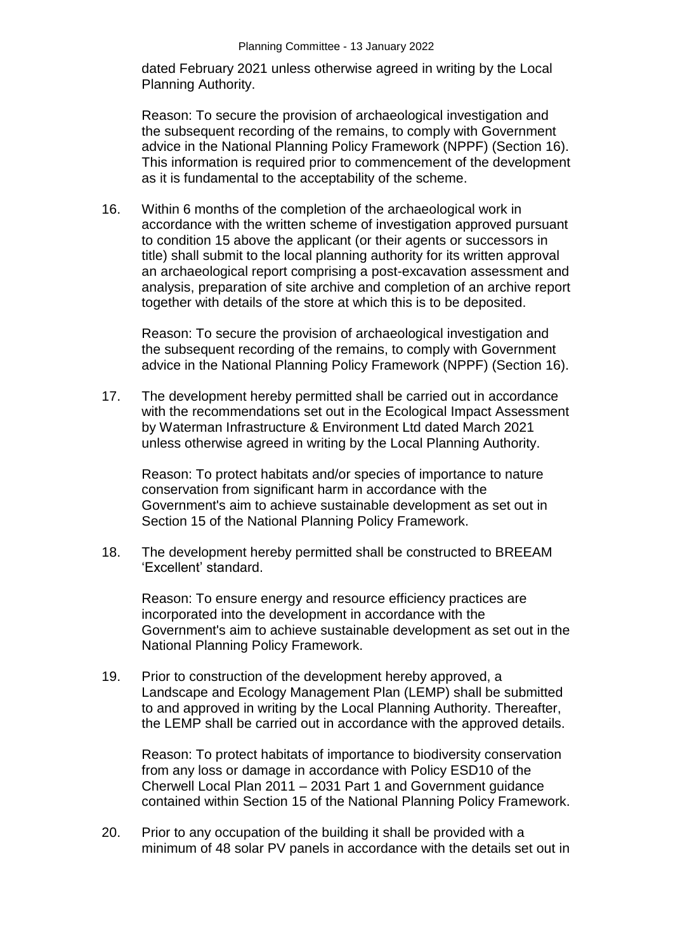dated February 2021 unless otherwise agreed in writing by the Local Planning Authority.

Reason: To secure the provision of archaeological investigation and the subsequent recording of the remains, to comply with Government advice in the National Planning Policy Framework (NPPF) (Section 16). This information is required prior to commencement of the development as it is fundamental to the acceptability of the scheme.

16. Within 6 months of the completion of the archaeological work in accordance with the written scheme of investigation approved pursuant to condition 15 above the applicant (or their agents or successors in title) shall submit to the local planning authority for its written approval an archaeological report comprising a post-excavation assessment and analysis, preparation of site archive and completion of an archive report together with details of the store at which this is to be deposited.

Reason: To secure the provision of archaeological investigation and the subsequent recording of the remains, to comply with Government advice in the National Planning Policy Framework (NPPF) (Section 16).

17. The development hereby permitted shall be carried out in accordance with the recommendations set out in the Ecological Impact Assessment by Waterman Infrastructure & Environment Ltd dated March 2021 unless otherwise agreed in writing by the Local Planning Authority.

Reason: To protect habitats and/or species of importance to nature conservation from significant harm in accordance with the Government's aim to achieve sustainable development as set out in Section 15 of the National Planning Policy Framework.

18. The development hereby permitted shall be constructed to BREEAM 'Excellent' standard.

Reason: To ensure energy and resource efficiency practices are incorporated into the development in accordance with the Government's aim to achieve sustainable development as set out in the National Planning Policy Framework.

19. Prior to construction of the development hereby approved, a Landscape and Ecology Management Plan (LEMP) shall be submitted to and approved in writing by the Local Planning Authority. Thereafter, the LEMP shall be carried out in accordance with the approved details.

Reason: To protect habitats of importance to biodiversity conservation from any loss or damage in accordance with Policy ESD10 of the Cherwell Local Plan 2011 – 2031 Part 1 and Government guidance contained within Section 15 of the National Planning Policy Framework.

20. Prior to any occupation of the building it shall be provided with a minimum of 48 solar PV panels in accordance with the details set out in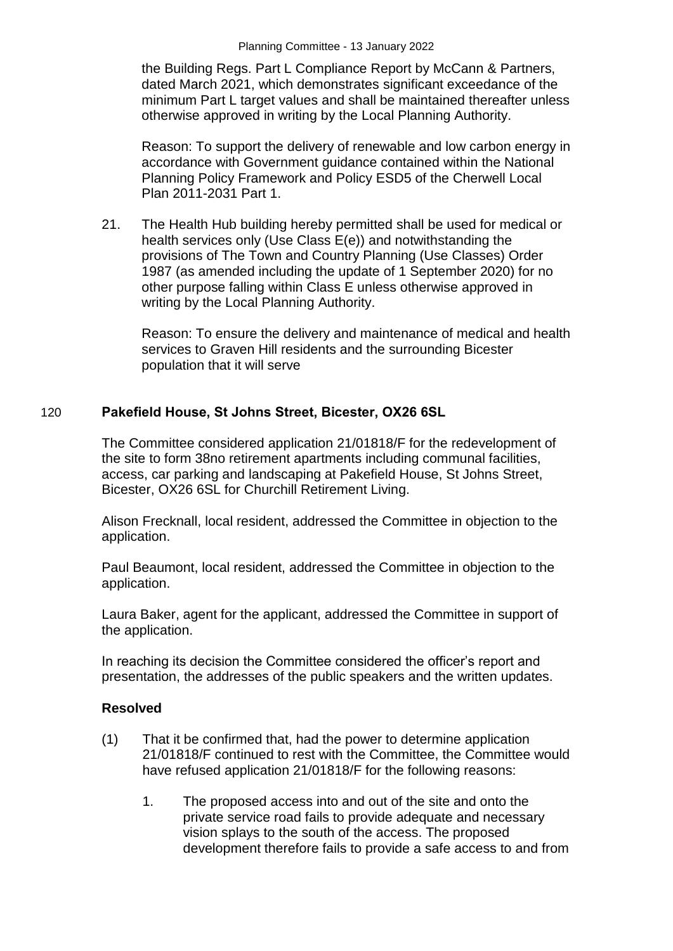the Building Regs. Part L Compliance Report by McCann & Partners, dated March 2021, which demonstrates significant exceedance of the minimum Part L target values and shall be maintained thereafter unless otherwise approved in writing by the Local Planning Authority.

Reason: To support the delivery of renewable and low carbon energy in accordance with Government guidance contained within the National Planning Policy Framework and Policy ESD5 of the Cherwell Local Plan 2011-2031 Part 1.

21. The Health Hub building hereby permitted shall be used for medical or health services only (Use Class E(e)) and notwithstanding the provisions of The Town and Country Planning (Use Classes) Order 1987 (as amended including the update of 1 September 2020) for no other purpose falling within Class E unless otherwise approved in writing by the Local Planning Authority.

Reason: To ensure the delivery and maintenance of medical and health services to Graven Hill residents and the surrounding Bicester population that it will serve

## 120 **Pakefield House, St Johns Street, Bicester, OX26 6SL**

The Committee considered application 21/01818/F for the redevelopment of the site to form 38no retirement apartments including communal facilities, access, car parking and landscaping at Pakefield House, St Johns Street, Bicester, OX26 6SL for Churchill Retirement Living.

Alison Frecknall, local resident, addressed the Committee in objection to the application.

Paul Beaumont, local resident, addressed the Committee in objection to the application.

Laura Baker, agent for the applicant, addressed the Committee in support of the application.

In reaching its decision the Committee considered the officer's report and presentation, the addresses of the public speakers and the written updates.

### **Resolved**

- (1) That it be confirmed that, had the power to determine application 21/01818/F continued to rest with the Committee, the Committee would have refused application 21/01818/F for the following reasons:
	- 1. The proposed access into and out of the site and onto the private service road fails to provide adequate and necessary vision splays to the south of the access. The proposed development therefore fails to provide a safe access to and from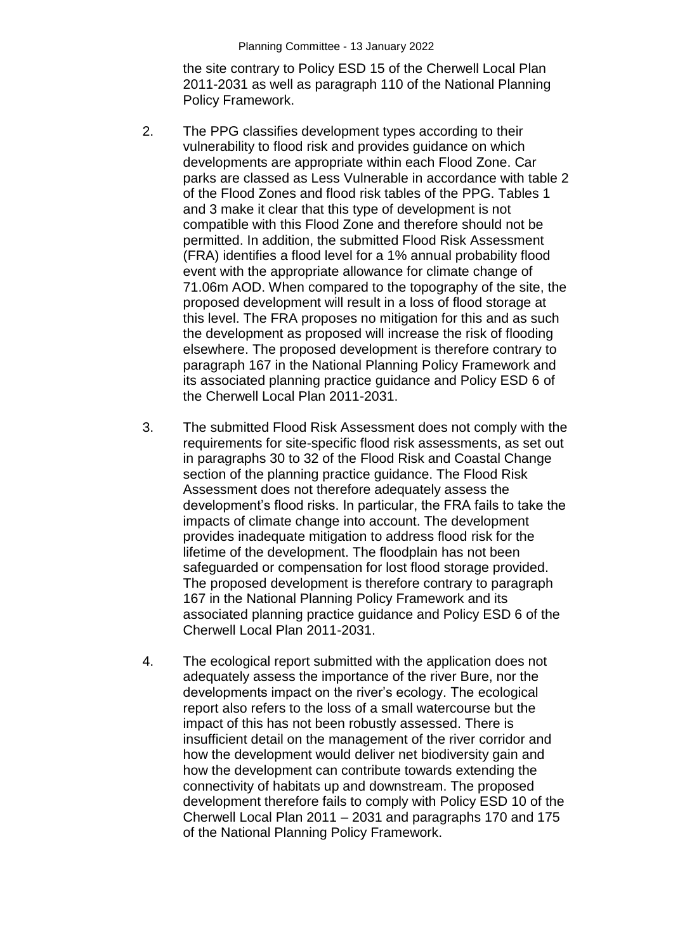the site contrary to Policy ESD 15 of the Cherwell Local Plan 2011-2031 as well as paragraph 110 of the National Planning Policy Framework.

- 2. The PPG classifies development types according to their vulnerability to flood risk and provides guidance on which developments are appropriate within each Flood Zone. Car parks are classed as Less Vulnerable in accordance with table 2 of the Flood Zones and flood risk tables of the PPG. Tables 1 and 3 make it clear that this type of development is not compatible with this Flood Zone and therefore should not be permitted. In addition, the submitted Flood Risk Assessment (FRA) identifies a flood level for a 1% annual probability flood event with the appropriate allowance for climate change of 71.06m AOD. When compared to the topography of the site, the proposed development will result in a loss of flood storage at this level. The FRA proposes no mitigation for this and as such the development as proposed will increase the risk of flooding elsewhere. The proposed development is therefore contrary to paragraph 167 in the National Planning Policy Framework and its associated planning practice guidance and Policy ESD 6 of the Cherwell Local Plan 2011-2031.
- 3. The submitted Flood Risk Assessment does not comply with the requirements for site-specific flood risk assessments, as set out in paragraphs 30 to 32 of the Flood Risk and Coastal Change section of the planning practice guidance. The Flood Risk Assessment does not therefore adequately assess the development's flood risks. In particular, the FRA fails to take the impacts of climate change into account. The development provides inadequate mitigation to address flood risk for the lifetime of the development. The floodplain has not been safeguarded or compensation for lost flood storage provided. The proposed development is therefore contrary to paragraph 167 in the National Planning Policy Framework and its associated planning practice guidance and Policy ESD 6 of the Cherwell Local Plan 2011-2031.
- 4. The ecological report submitted with the application does not adequately assess the importance of the river Bure, nor the developments impact on the river's ecology. The ecological report also refers to the loss of a small watercourse but the impact of this has not been robustly assessed. There is insufficient detail on the management of the river corridor and how the development would deliver net biodiversity gain and how the development can contribute towards extending the connectivity of habitats up and downstream. The proposed development therefore fails to comply with Policy ESD 10 of the Cherwell Local Plan 2011 – 2031 and paragraphs 170 and 175 of the National Planning Policy Framework.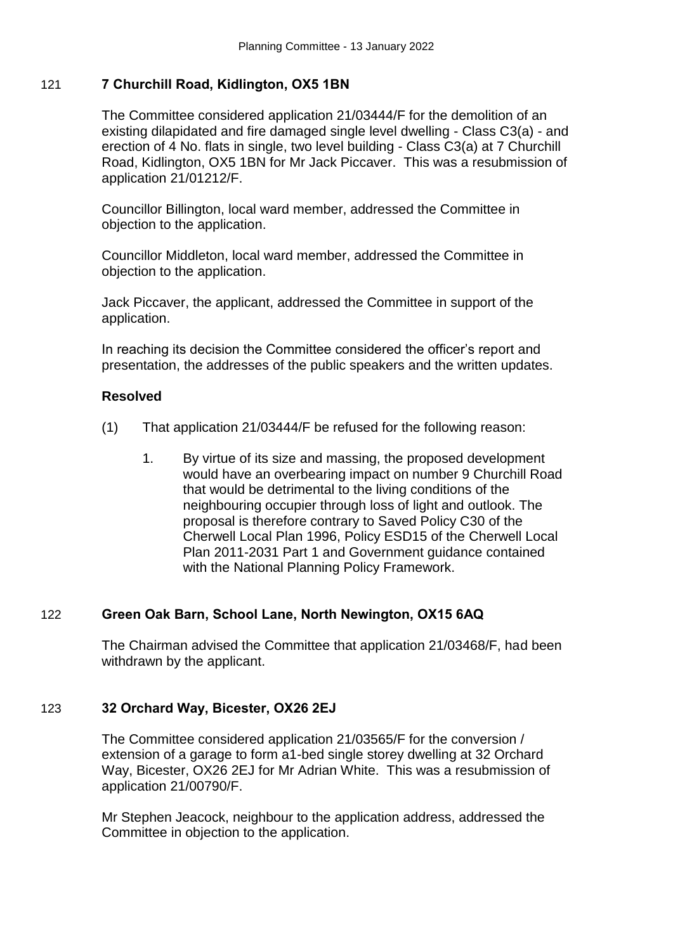## 121 **7 Churchill Road, Kidlington, OX5 1BN**

The Committee considered application 21/03444/F for the demolition of an existing dilapidated and fire damaged single level dwelling - Class C3(a) - and erection of 4 No. flats in single, two level building - Class C3(a) at 7 Churchill Road, Kidlington, OX5 1BN for Mr Jack Piccaver. This was a resubmission of application 21/01212/F.

Councillor Billington, local ward member, addressed the Committee in objection to the application.

Councillor Middleton, local ward member, addressed the Committee in objection to the application.

Jack Piccaver, the applicant, addressed the Committee in support of the application.

In reaching its decision the Committee considered the officer's report and presentation, the addresses of the public speakers and the written updates.

## **Resolved**

- (1) That application 21/03444/F be refused for the following reason:
	- 1. By virtue of its size and massing, the proposed development would have an overbearing impact on number 9 Churchill Road that would be detrimental to the living conditions of the neighbouring occupier through loss of light and outlook. The proposal is therefore contrary to Saved Policy C30 of the Cherwell Local Plan 1996, Policy ESD15 of the Cherwell Local Plan 2011-2031 Part 1 and Government guidance contained with the National Planning Policy Framework.

### 122 **Green Oak Barn, School Lane, North Newington, OX15 6AQ**

The Chairman advised the Committee that application 21/03468/F, had been withdrawn by the applicant.

# 123 **32 Orchard Way, Bicester, OX26 2EJ**

The Committee considered application 21/03565/F for the conversion / extension of a garage to form a1-bed single storey dwelling at 32 Orchard Way, Bicester, OX26 2EJ for Mr Adrian White. This was a resubmission of application 21/00790/F.

Mr Stephen Jeacock, neighbour to the application address, addressed the Committee in objection to the application.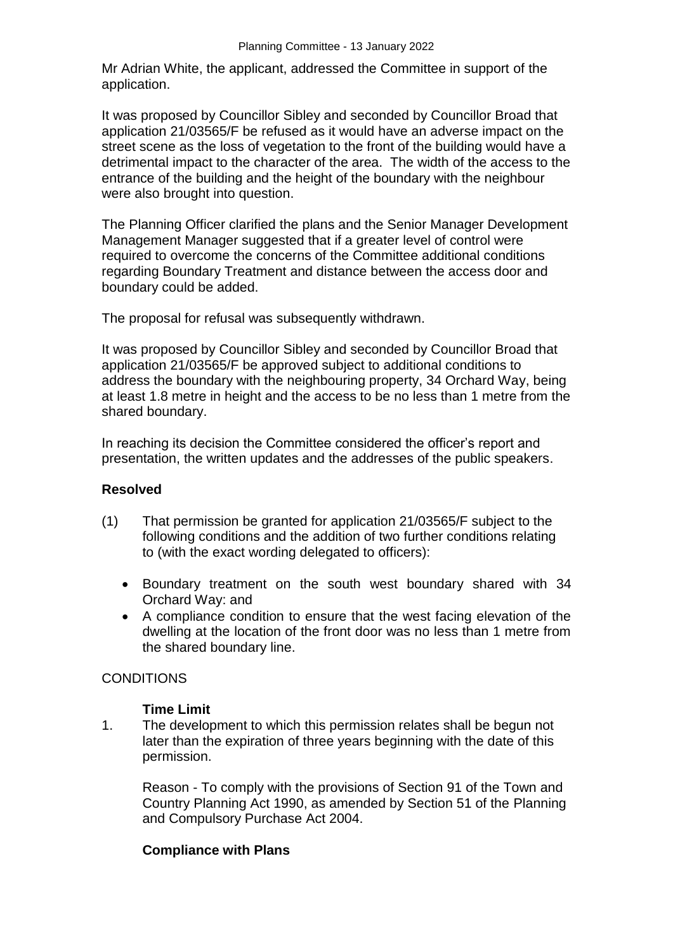Mr Adrian White, the applicant, addressed the Committee in support of the application.

It was proposed by Councillor Sibley and seconded by Councillor Broad that application 21/03565/F be refused as it would have an adverse impact on the street scene as the loss of vegetation to the front of the building would have a detrimental impact to the character of the area. The width of the access to the entrance of the building and the height of the boundary with the neighbour were also brought into question.

The Planning Officer clarified the plans and the Senior Manager Development Management Manager suggested that if a greater level of control were required to overcome the concerns of the Committee additional conditions regarding Boundary Treatment and distance between the access door and boundary could be added.

The proposal for refusal was subsequently withdrawn.

It was proposed by Councillor Sibley and seconded by Councillor Broad that application 21/03565/F be approved subject to additional conditions to address the boundary with the neighbouring property, 34 Orchard Way, being at least 1.8 metre in height and the access to be no less than 1 metre from the shared boundary.

In reaching its decision the Committee considered the officer's report and presentation, the written updates and the addresses of the public speakers.

### **Resolved**

- (1) That permission be granted for application 21/03565/F subject to the following conditions and the addition of two further conditions relating to (with the exact wording delegated to officers):
	- Boundary treatment on the south west boundary shared with 34 Orchard Way: and
	- A compliance condition to ensure that the west facing elevation of the dwelling at the location of the front door was no less than 1 metre from the shared boundary line.

### **CONDITIONS**

#### **Time Limit**

1. The development to which this permission relates shall be begun not later than the expiration of three years beginning with the date of this permission.

Reason - To comply with the provisions of Section 91 of the Town and Country Planning Act 1990, as amended by Section 51 of the Planning and Compulsory Purchase Act 2004.

### **Compliance with Plans**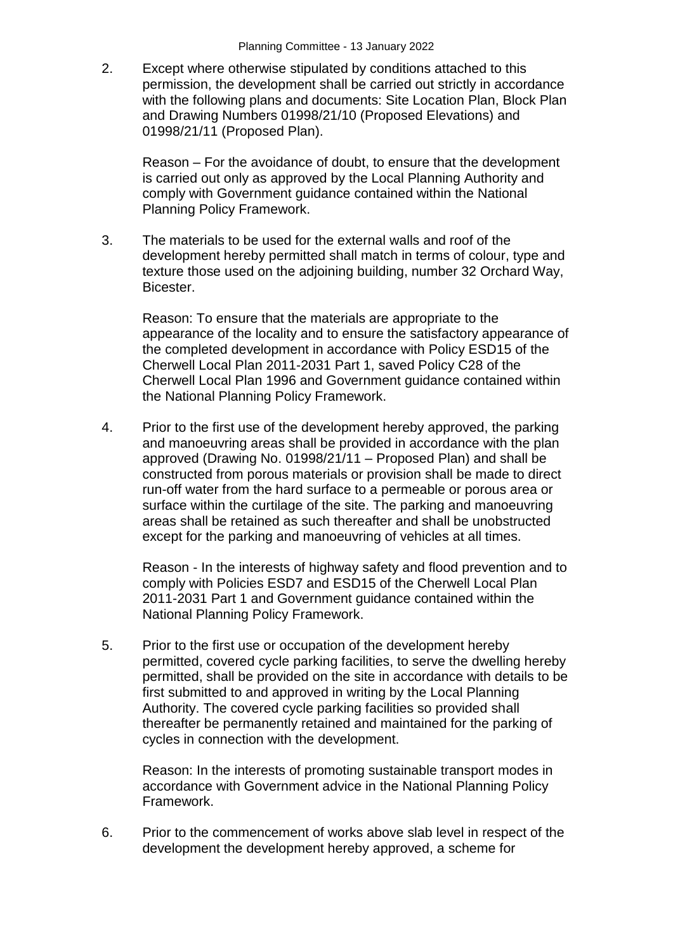2. Except where otherwise stipulated by conditions attached to this permission, the development shall be carried out strictly in accordance with the following plans and documents: Site Location Plan, Block Plan and Drawing Numbers 01998/21/10 (Proposed Elevations) and 01998/21/11 (Proposed Plan).

Reason – For the avoidance of doubt, to ensure that the development is carried out only as approved by the Local Planning Authority and comply with Government guidance contained within the National Planning Policy Framework.

3. The materials to be used for the external walls and roof of the development hereby permitted shall match in terms of colour, type and texture those used on the adjoining building, number 32 Orchard Way, Bicester.

Reason: To ensure that the materials are appropriate to the appearance of the locality and to ensure the satisfactory appearance of the completed development in accordance with Policy ESD15 of the Cherwell Local Plan 2011-2031 Part 1, saved Policy C28 of the Cherwell Local Plan 1996 and Government guidance contained within the National Planning Policy Framework.

4. Prior to the first use of the development hereby approved, the parking and manoeuvring areas shall be provided in accordance with the plan approved (Drawing No. 01998/21/11 – Proposed Plan) and shall be constructed from porous materials or provision shall be made to direct run-off water from the hard surface to a permeable or porous area or surface within the curtilage of the site. The parking and manoeuvring areas shall be retained as such thereafter and shall be unobstructed except for the parking and manoeuvring of vehicles at all times.

Reason - In the interests of highway safety and flood prevention and to comply with Policies ESD7 and ESD15 of the Cherwell Local Plan 2011-2031 Part 1 and Government guidance contained within the National Planning Policy Framework.

5. Prior to the first use or occupation of the development hereby permitted, covered cycle parking facilities, to serve the dwelling hereby permitted, shall be provided on the site in accordance with details to be first submitted to and approved in writing by the Local Planning Authority. The covered cycle parking facilities so provided shall thereafter be permanently retained and maintained for the parking of cycles in connection with the development.

Reason: In the interests of promoting sustainable transport modes in accordance with Government advice in the National Planning Policy Framework.

6. Prior to the commencement of works above slab level in respect of the development the development hereby approved, a scheme for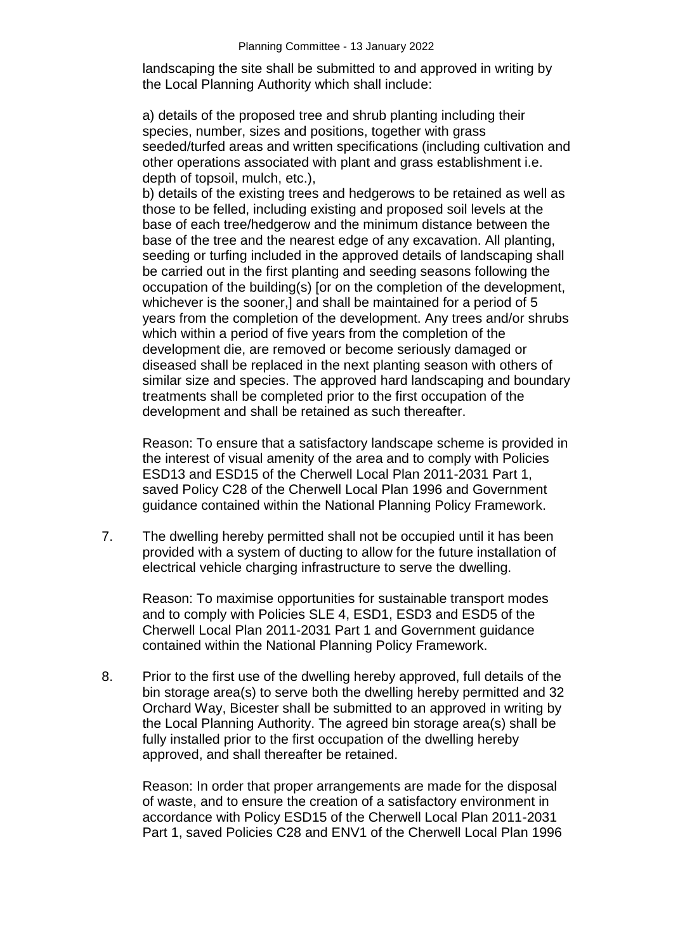landscaping the site shall be submitted to and approved in writing by the Local Planning Authority which shall include:

a) details of the proposed tree and shrub planting including their species, number, sizes and positions, together with grass seeded/turfed areas and written specifications (including cultivation and other operations associated with plant and grass establishment i.e. depth of topsoil, mulch, etc.),

b) details of the existing trees and hedgerows to be retained as well as those to be felled, including existing and proposed soil levels at the base of each tree/hedgerow and the minimum distance between the base of the tree and the nearest edge of any excavation. All planting, seeding or turfing included in the approved details of landscaping shall be carried out in the first planting and seeding seasons following the occupation of the building(s) [or on the completion of the development, whichever is the sooner,] and shall be maintained for a period of 5 years from the completion of the development. Any trees and/or shrubs which within a period of five years from the completion of the development die, are removed or become seriously damaged or diseased shall be replaced in the next planting season with others of similar size and species. The approved hard landscaping and boundary treatments shall be completed prior to the first occupation of the development and shall be retained as such thereafter.

Reason: To ensure that a satisfactory landscape scheme is provided in the interest of visual amenity of the area and to comply with Policies ESD13 and ESD15 of the Cherwell Local Plan 2011-2031 Part 1, saved Policy C28 of the Cherwell Local Plan 1996 and Government guidance contained within the National Planning Policy Framework.

7. The dwelling hereby permitted shall not be occupied until it has been provided with a system of ducting to allow for the future installation of electrical vehicle charging infrastructure to serve the dwelling.

Reason: To maximise opportunities for sustainable transport modes and to comply with Policies SLE 4, ESD1, ESD3 and ESD5 of the Cherwell Local Plan 2011-2031 Part 1 and Government guidance contained within the National Planning Policy Framework.

8. Prior to the first use of the dwelling hereby approved, full details of the bin storage area(s) to serve both the dwelling hereby permitted and 32 Orchard Way, Bicester shall be submitted to an approved in writing by the Local Planning Authority. The agreed bin storage area(s) shall be fully installed prior to the first occupation of the dwelling hereby approved, and shall thereafter be retained.

Reason: In order that proper arrangements are made for the disposal of waste, and to ensure the creation of a satisfactory environment in accordance with Policy ESD15 of the Cherwell Local Plan 2011-2031 Part 1, saved Policies C28 and ENV1 of the Cherwell Local Plan 1996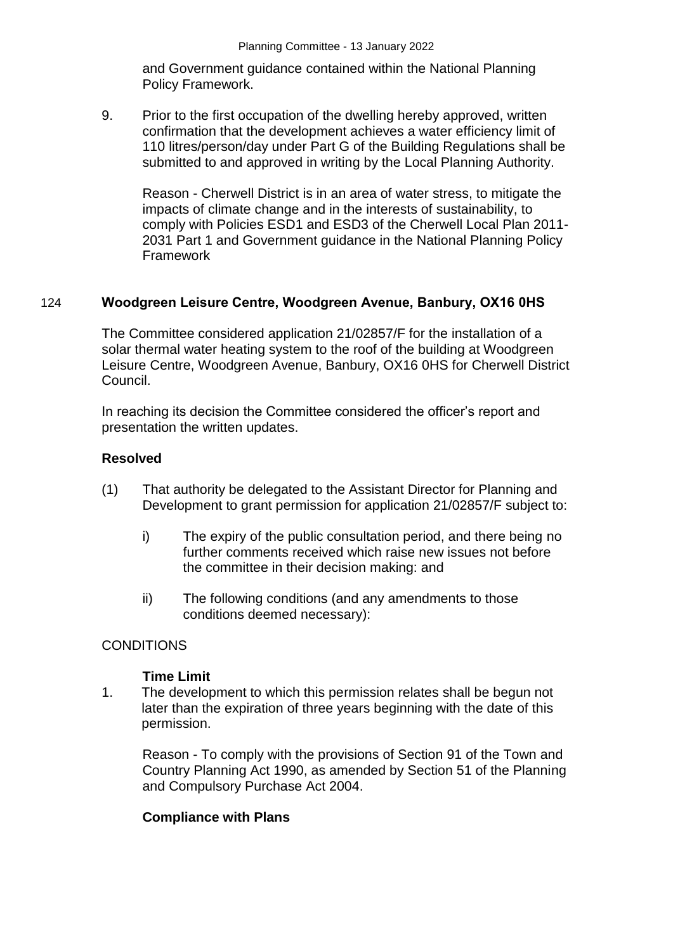and Government guidance contained within the National Planning Policy Framework.

9. Prior to the first occupation of the dwelling hereby approved, written confirmation that the development achieves a water efficiency limit of 110 litres/person/day under Part G of the Building Regulations shall be submitted to and approved in writing by the Local Planning Authority.

Reason - Cherwell District is in an area of water stress, to mitigate the impacts of climate change and in the interests of sustainability, to comply with Policies ESD1 and ESD3 of the Cherwell Local Plan 2011- 2031 Part 1 and Government guidance in the National Planning Policy Framework

#### 124 **Woodgreen Leisure Centre, Woodgreen Avenue, Banbury, OX16 0HS**

The Committee considered application 21/02857/F for the installation of a solar thermal water heating system to the roof of the building at Woodgreen Leisure Centre, Woodgreen Avenue, Banbury, OX16 0HS for Cherwell District Council.

In reaching its decision the Committee considered the officer's report and presentation the written updates.

#### **Resolved**

- (1) That authority be delegated to the Assistant Director for Planning and Development to grant permission for application 21/02857/F subject to:
	- i) The expiry of the public consultation period, and there being no further comments received which raise new issues not before the committee in their decision making: and
	- ii) The following conditions (and any amendments to those conditions deemed necessary):

#### **CONDITIONS**

#### **Time Limit**

1. The development to which this permission relates shall be begun not later than the expiration of three years beginning with the date of this permission.

Reason - To comply with the provisions of Section 91 of the Town and Country Planning Act 1990, as amended by Section 51 of the Planning and Compulsory Purchase Act 2004.

### **Compliance with Plans**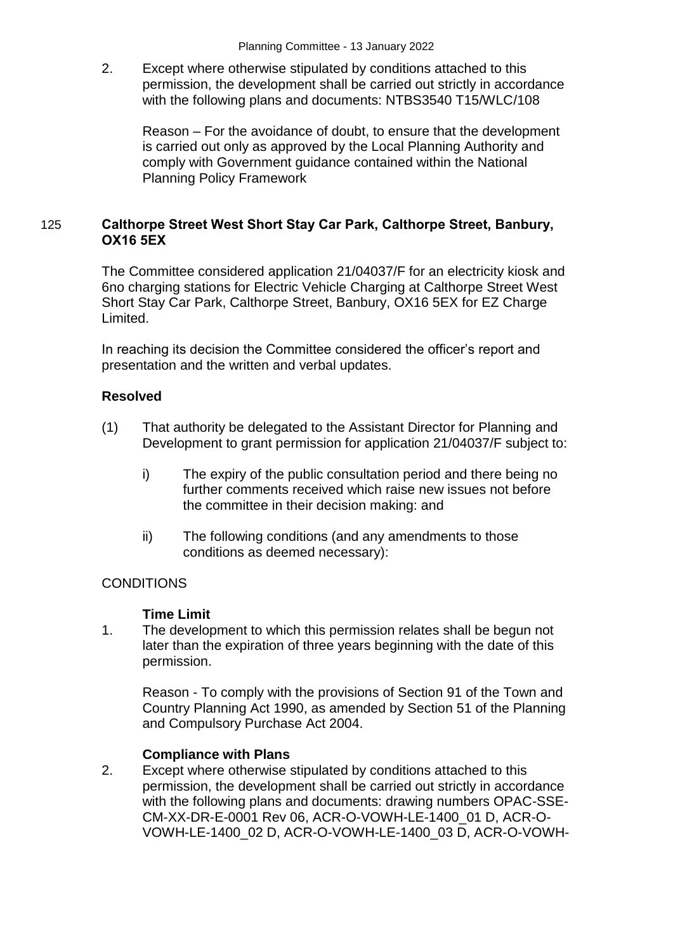2. Except where otherwise stipulated by conditions attached to this permission, the development shall be carried out strictly in accordance with the following plans and documents: NTBS3540 T15/WLC/108

Reason – For the avoidance of doubt, to ensure that the development is carried out only as approved by the Local Planning Authority and comply with Government guidance contained within the National Planning Policy Framework

## 125 **Calthorpe Street West Short Stay Car Park, Calthorpe Street, Banbury, OX16 5EX**

The Committee considered application 21/04037/F for an electricity kiosk and 6no charging stations for Electric Vehicle Charging at Calthorpe Street West Short Stay Car Park, Calthorpe Street, Banbury, OX16 5EX for EZ Charge Limited.

In reaching its decision the Committee considered the officer's report and presentation and the written and verbal updates.

## **Resolved**

- (1) That authority be delegated to the Assistant Director for Planning and Development to grant permission for application 21/04037/F subject to:
	- i) The expiry of the public consultation period and there being no further comments received which raise new issues not before the committee in their decision making: and
	- ii) The following conditions (and any amendments to those conditions as deemed necessary):

### **CONDITIONS**

### **Time Limit**

1. The development to which this permission relates shall be begun not later than the expiration of three years beginning with the date of this permission.

Reason - To comply with the provisions of Section 91 of the Town and Country Planning Act 1990, as amended by Section 51 of the Planning and Compulsory Purchase Act 2004.

### **Compliance with Plans**

2. Except where otherwise stipulated by conditions attached to this permission, the development shall be carried out strictly in accordance with the following plans and documents: drawing numbers OPAC-SSE-CM-XX-DR-E-0001 Rev 06, ACR-O-VOWH-LE-1400\_01 D, ACR-O-VOWH-LE-1400\_02 D, ACR-O-VOWH-LE-1400\_03 D, ACR-O-VOWH-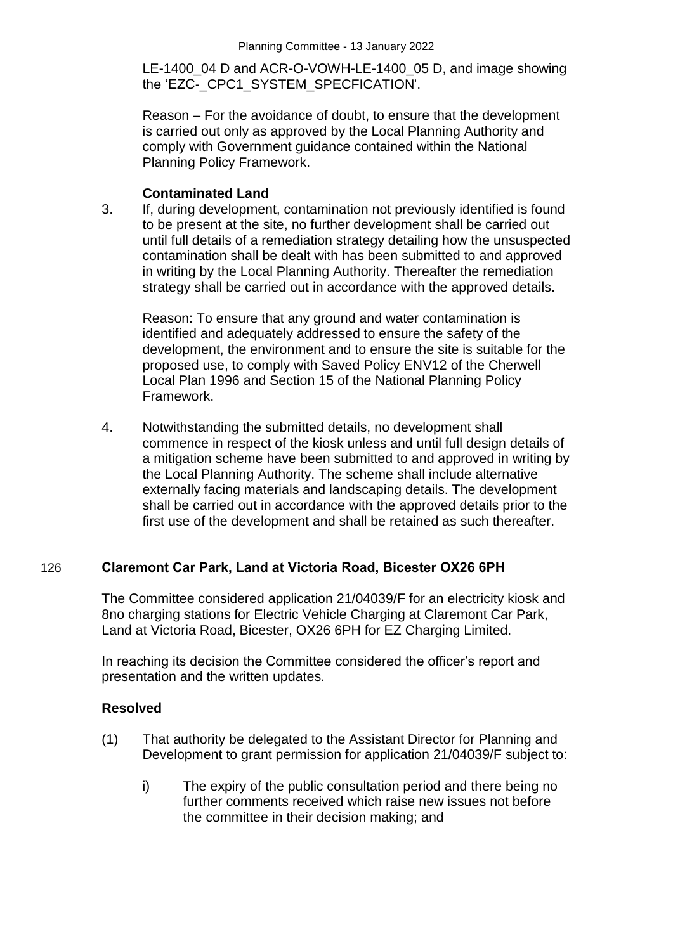LE-1400 04 D and ACR-O-VOWH-LE-1400 05 D, and image showing the 'EZC- CPC1\_SYSTEM\_SPECFICATION'.

Reason – For the avoidance of doubt, to ensure that the development is carried out only as approved by the Local Planning Authority and comply with Government guidance contained within the National Planning Policy Framework.

### **Contaminated Land**

3. If, during development, contamination not previously identified is found to be present at the site, no further development shall be carried out until full details of a remediation strategy detailing how the unsuspected contamination shall be dealt with has been submitted to and approved in writing by the Local Planning Authority. Thereafter the remediation strategy shall be carried out in accordance with the approved details.

Reason: To ensure that any ground and water contamination is identified and adequately addressed to ensure the safety of the development, the environment and to ensure the site is suitable for the proposed use, to comply with Saved Policy ENV12 of the Cherwell Local Plan 1996 and Section 15 of the National Planning Policy Framework.

4. Notwithstanding the submitted details, no development shall commence in respect of the kiosk unless and until full design details of a mitigation scheme have been submitted to and approved in writing by the Local Planning Authority. The scheme shall include alternative externally facing materials and landscaping details. The development shall be carried out in accordance with the approved details prior to the first use of the development and shall be retained as such thereafter.

# 126 **Claremont Car Park, Land at Victoria Road, Bicester OX26 6PH**

The Committee considered application 21/04039/F for an electricity kiosk and 8no charging stations for Electric Vehicle Charging at Claremont Car Park, Land at Victoria Road, Bicester, OX26 6PH for EZ Charging Limited.

In reaching its decision the Committee considered the officer's report and presentation and the written updates.

### **Resolved**

- (1) That authority be delegated to the Assistant Director for Planning and Development to grant permission for application 21/04039/F subject to:
	- i) The expiry of the public consultation period and there being no further comments received which raise new issues not before the committee in their decision making; and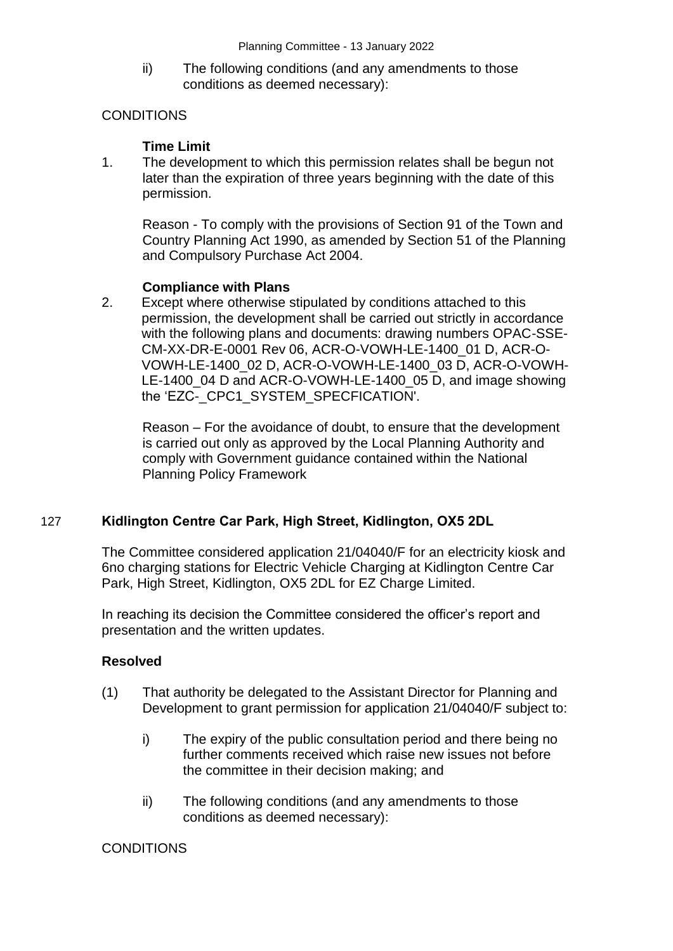ii) The following conditions (and any amendments to those conditions as deemed necessary):

# **CONDITIONS**

## **Time Limit**

1. The development to which this permission relates shall be begun not later than the expiration of three years beginning with the date of this permission.

Reason - To comply with the provisions of Section 91 of the Town and Country Planning Act 1990, as amended by Section 51 of the Planning and Compulsory Purchase Act 2004.

## **Compliance with Plans**

2. Except where otherwise stipulated by conditions attached to this permission, the development shall be carried out strictly in accordance with the following plans and documents: drawing numbers OPAC-SSE-CM-XX-DR-E-0001 Rev 06, ACR-O-VOWH-LE-1400\_01 D, ACR-O-VOWH-LE-1400\_02 D, ACR-O-VOWH-LE-1400\_03 D, ACR-O-VOWH-LE-1400 04 D and ACR-O-VOWH-LE-1400 05 D, and image showing the 'EZC- CPC1\_SYSTEM\_SPECFICATION'.

Reason – For the avoidance of doubt, to ensure that the development is carried out only as approved by the Local Planning Authority and comply with Government guidance contained within the National Planning Policy Framework

# 127 **Kidlington Centre Car Park, High Street, Kidlington, OX5 2DL**

The Committee considered application 21/04040/F for an electricity kiosk and 6no charging stations for Electric Vehicle Charging at Kidlington Centre Car Park, High Street, Kidlington, OX5 2DL for EZ Charge Limited.

In reaching its decision the Committee considered the officer's report and presentation and the written updates.

### **Resolved**

- (1) That authority be delegated to the Assistant Director for Planning and Development to grant permission for application 21/04040/F subject to:
	- i) The expiry of the public consultation period and there being no further comments received which raise new issues not before the committee in their decision making; and
	- ii) The following conditions (and any amendments to those conditions as deemed necessary):

# **CONDITIONS**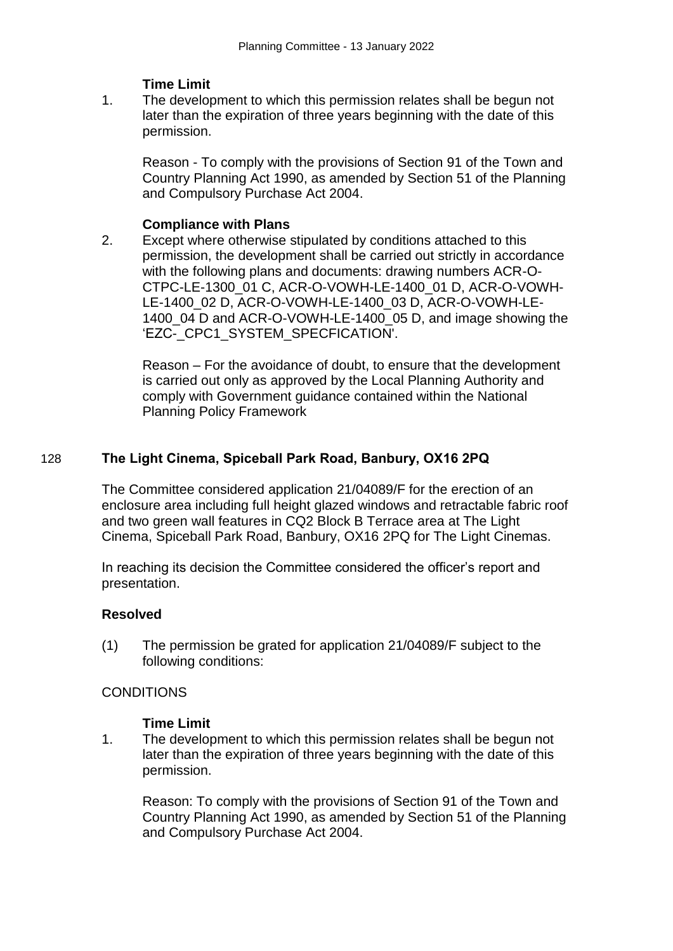## **Time Limit**

1. The development to which this permission relates shall be begun not later than the expiration of three years beginning with the date of this permission.

Reason - To comply with the provisions of Section 91 of the Town and Country Planning Act 1990, as amended by Section 51 of the Planning and Compulsory Purchase Act 2004.

### **Compliance with Plans**

2. Except where otherwise stipulated by conditions attached to this permission, the development shall be carried out strictly in accordance with the following plans and documents: drawing numbers ACR-O-CTPC-LE-1300\_01 C, ACR-O-VOWH-LE-1400\_01 D, ACR-O-VOWH-LE-1400\_02 D, ACR-O-VOWH-LE-1400\_03 D, ACR-O-VOWH-LE-1400 04 D and ACR-O-VOWH-LE-1400 05 D, and image showing the 'EZC- CPC1\_SYSTEM\_SPECFICATION'.

Reason – For the avoidance of doubt, to ensure that the development is carried out only as approved by the Local Planning Authority and comply with Government guidance contained within the National Planning Policy Framework

## 128 **The Light Cinema, Spiceball Park Road, Banbury, OX16 2PQ**

The Committee considered application 21/04089/F for the erection of an enclosure area including full height glazed windows and retractable fabric roof and two green wall features in CQ2 Block B Terrace area at The Light Cinema, Spiceball Park Road, Banbury, OX16 2PQ for The Light Cinemas.

In reaching its decision the Committee considered the officer's report and presentation.

### **Resolved**

(1) The permission be grated for application 21/04089/F subject to the following conditions:

### CONDITIONS

### **Time Limit**

1. The development to which this permission relates shall be begun not later than the expiration of three years beginning with the date of this permission.

Reason: To comply with the provisions of Section 91 of the Town and Country Planning Act 1990, as amended by Section 51 of the Planning and Compulsory Purchase Act 2004.